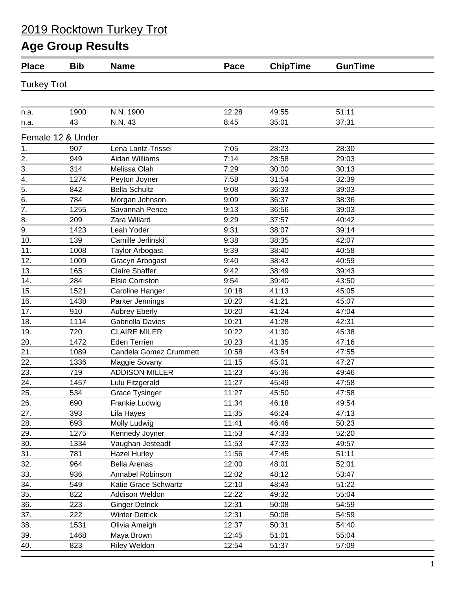| <b>Place</b>       | <b>Bib</b>        | <b>Name</b>            | Pace  | <b>ChipTime</b> | <b>GunTime</b> |  |
|--------------------|-------------------|------------------------|-------|-----------------|----------------|--|
| <b>Turkey Trot</b> |                   |                        |       |                 |                |  |
|                    |                   |                        |       |                 |                |  |
| n.a.               | 1900              | N.N. 1900              | 12:28 | 49:55           | 51:11          |  |
| n.a.               | 43                | N.N. 43                | 8:45  | 35:01           | 37:31          |  |
|                    | Female 12 & Under |                        |       |                 |                |  |
| 1.                 | 907               | Lena Lantz-Trissel     | 7:05  | 28:23           | 28:30          |  |
| 2.                 | 949               | Aidan Williams         | 7:14  | 28:58           | 29:03          |  |
| 3.                 | 314               | Melissa Olah           | 7:29  | 30:00           | 30:13          |  |
| $\overline{4}$ .   | 1274              | Peyton Joyner          | 7:58  | 31:54           | 32:39          |  |
| 5.                 | 842               | <b>Bella Schultz</b>   | 9:08  | 36:33           | 39:03          |  |
| 6.                 | 784               | Morgan Johnson         | 9:09  | 36:37           | 38:36          |  |
| $\overline{7}$ .   | 1255              | Savannah Pence         | 9:13  | 36:56           | 39:03          |  |
| 8.                 | 209               | Zara Willard           | 9:29  | 37:57           | 40:42          |  |
| 9.                 | 1423              | Leah Yoder             | 9:31  | 38:07           | 39:14          |  |
| 10.                | 139               | Camille Jerlinski      | 9:38  | 38:35           | 42:07          |  |
| 11.                | 1008              | <b>Taylor Arbogast</b> | 9:39  | 38:40           | 40:58          |  |
| 12.                | 1009              | Gracyn Arbogast        | 9:40  | 38:43           | 40:59          |  |
| 13.                | 165               | <b>Claire Shaffer</b>  | 9:42  | 38:49           | 39:43          |  |
| 14.                | 284               | Elsie Corriston        | 9:54  | 39:40           | 43:50          |  |
| 15.                | 1521              | Caroline Hanger        | 10:18 | 41:13           | 45:05          |  |
| 16.                | 1438              | Parker Jennings        | 10:20 | 41:21           | 45:07          |  |
| 17.                | 910               | <b>Aubrey Eberly</b>   | 10:20 | 41:24           | 47:04          |  |
| 18.                | 1114              | Gabriella Davies       | 10:21 | 41:28           | 42:31          |  |
| 19.                | 720               | <b>CLAIRE MILER</b>    | 10:22 | 41:30           | 45:38          |  |
| 20.                | 1472              | Eden Terrien           | 10:23 | 41:35           | 47:16          |  |
| 21.                | 1089              | Candela Gomez Crummett | 10:58 | 43:54           | 47:55          |  |
| 22.                | 1336              | Maggie Sovany          | 11:15 | 45:01           | 47:27          |  |
| 23.                | 719               | <b>ADDISON MILLER</b>  | 11:23 | 45:36           | 49:46          |  |
| $\overline{24}$ .  | 1457              | Lulu Fitzgerald        | 11:27 | 45:49           | 47:58          |  |
| 25.                | 534               | Grace Tysinger         | 11:27 | 45:50           | 47:58          |  |
| 26.                | 690               | Frankie Ludwig         | 11:34 | 46:18           | 49:54          |  |
| 27.                | 393               | Lila Hayes             | 11:35 | 46:24           | 47:13          |  |
| 28.                | 693               | Molly Ludwig           | 11:41 | 46:46           | 50:23          |  |
| 29.                | 1275              | Kennedy Joyner         | 11:53 | 47:33           | 52:20          |  |
| 30.                | 1334              | Vaughan Jesteadt       | 11:53 | 47:33           | 49:57          |  |
| 31.                | 781               | <b>Hazel Hurley</b>    | 11:56 | 47:45           | 51:11          |  |
| 32.                | 964               | <b>Bella Arenas</b>    | 12:00 | 48:01           | 52:01          |  |
| 33.                | 936               | Annabel Robinson       | 12:02 | 48:12           | 53:47          |  |
| 34.                | 549               | Katie Grace Schwartz   | 12:10 | 48:43           | 51:22          |  |
| 35.                | 822               | Addison Weldon         | 12:22 | 49:32           | 55:04          |  |
| 36.                | 223               | <b>Ginger Detrick</b>  | 12:31 | 50:08           | 54:59          |  |
| 37.                | 222               | <b>Winter Detrick</b>  | 12:31 | 50:08           | 54:59          |  |
| 38.                | 1531              | Olivia Ameigh          | 12:37 | 50:31           | 54:40          |  |
| 39.                | 1468              | Maya Brown             | 12:45 | 51:01           | 55:04          |  |
| 40.                | 823               | <b>Riley Weldon</b>    | 12:54 | 51:37           | 57:09          |  |
|                    |                   |                        |       |                 |                |  |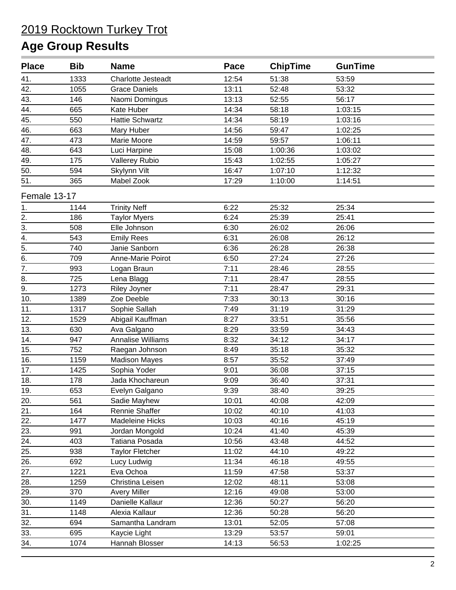| <b>Place</b>     | <b>Bib</b> | <b>Name</b>               | Pace  | <b>ChipTime</b> | <b>GunTime</b> |  |
|------------------|------------|---------------------------|-------|-----------------|----------------|--|
| 41.              | 1333       | <b>Charlotte Jesteadt</b> | 12:54 | 51:38           | 53:59          |  |
| 42.              | 1055       | <b>Grace Daniels</b>      | 13:11 | 52:48           | 53:32          |  |
| 43.              | 146        | Naomi Domingus            | 13:13 | 52:55           | 56:17          |  |
| 44.              | 665        | Kate Huber                | 14:34 | 58:18           | 1:03:15        |  |
| 45.              | 550        | <b>Hattie Schwartz</b>    | 14:34 | 58:19           | 1:03:16        |  |
| 46.              | 663        | Mary Huber                | 14:56 | 59:47           | 1:02:25        |  |
| 47.              | 473        | Marie Moore               | 14:59 | 59:57           | 1:06:11        |  |
| 48.              | 643        | Luci Harpine              | 15:08 | 1:00:36         | 1:03:02        |  |
| 49.              | 175        | Vallerey Rubio            | 15:43 | 1:02:55         | 1:05:27        |  |
| 50.              | 594        | Skylynn Vilt              | 16:47 | 1:07:10         | 1:12:32        |  |
| 51.              | 365        | Mabel Zook                | 17:29 | 1:10:00         | 1:14:51        |  |
| Female 13-17     |            |                           |       |                 |                |  |
| 1.               | 1144       | <b>Trinity Neff</b>       | 6:22  | 25:32           | 25:34          |  |
| 2.               | 186        | <b>Taylor Myers</b>       | 6:24  | 25:39           | 25:41          |  |
| 3.               | 508        | Elle Johnson              | 6:30  | 26:02           | 26:06          |  |
| 4.               | 543        | <b>Emily Rees</b>         | 6:31  | 26:08           | 26:12          |  |
| $\frac{1}{5}$    | 740        | Janie Sanborn             | 6:36  | 26:28           | 26:38          |  |
| $\overline{6}$ . | 709        | Anne-Marie Poirot         | 6:50  | 27:24           | 27:26          |  |
| $\overline{7}$ . | 993        | Logan Braun               | 7:11  | 28:46           | 28:55          |  |
| 8.               | 725        | Lena Blagg                | 7:11  | 28:47           | 28:55          |  |
| $\overline{9}$ . | 1273       | <b>Riley Joyner</b>       | 7:11  | 28:47           | 29:31          |  |
| 10.              | 1389       | Zoe Deeble                | 7:33  | 30:13           | 30:16          |  |
| 11.              | 1317       | Sophie Sallah             | 7:49  | 31:19           | 31:29          |  |
| 12.              | 1529       | Abigail Kauffman          | 8:27  | 33:51           | 35:56          |  |
| 13.              | 630        | Ava Galgano               | 8:29  | 33:59           | 34:43          |  |
| 14.              | 947        | Annalise Williams         | 8:32  | 34:12           | 34:17          |  |
| 15.              | 752        | Raegan Johnson            | 8:49  | 35:18           | 35:32          |  |
| 16.              | 1159       | <b>Madison Mayes</b>      | 8:57  | 35:52           | 37:49          |  |
| 17.              | 1425       | Sophia Yoder              | 9:01  | 36:08           | 37:15          |  |
| 18.              | 178        | Jada Khochareun           | 9:09  | 36:40           | 37:31          |  |
| 19.              | 653        | Evelyn Galgano            | 9:39  | 38:40           | 39:25          |  |
| 20.              | 561        | Sadie Mayhew              | 10:01 | 40:08           | 42:09          |  |
| 21.              | 164        | Rennie Shaffer            | 10:02 | 40:10           | 41:03          |  |
| 22.              | 1477       | Madeleine Hicks           | 10:03 | 40:16           | 45:19          |  |
| 23.              | 991        | Jordan Mongold            | 10:24 | 41:40           | 45:39          |  |
| 24.              | 403        | Tatiana Posada            | 10:56 | 43:48           | 44:52          |  |
| 25.              | 938        | <b>Taylor Fletcher</b>    | 11:02 | 44:10           | 49:22          |  |
| 26.              | 692        | Lucy Ludwig               | 11:34 | 46:18           | 49:55          |  |
| 27.              | 1221       | Eva Ochoa                 | 11:59 | 47:58           | 53:37          |  |
| 28.              | 1259       | Christina Leisen          | 12:02 | 48:11           | 53:08          |  |
| 29.              | 370        | <b>Avery Miller</b>       | 12:16 | 49:08           | 53:00          |  |
| 30.              | 1149       | Danielle Kallaur          | 12:36 | 50:27           | 56:20          |  |
| 31.              | 1148       | Alexia Kallaur            | 12:36 | 50:28           | 56:20          |  |
| 32.              | 694        | Samantha Landram          | 13:01 | 52:05           | 57:08          |  |
| 33.              | 695        | Kaycie Light              | 13:29 | 53:57           | 59:01          |  |
| 34.              | 1074       | Hannah Blosser            | 14:13 | 56:53           | 1:02:25        |  |
|                  |            |                           |       |                 |                |  |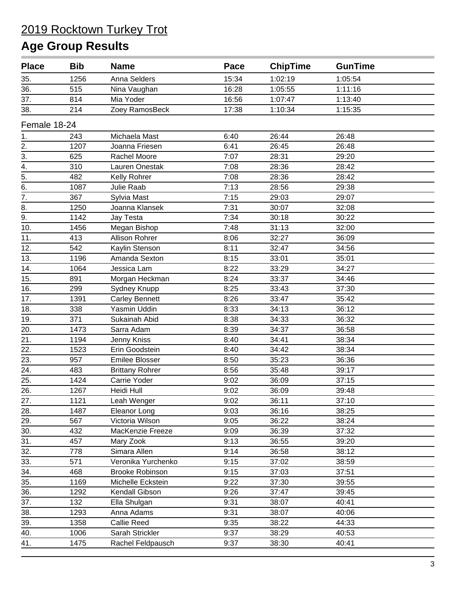| <b>Place</b>     | <b>Bib</b> | <b>Name</b>            | Pace  | <b>ChipTime</b> | <b>GunTime</b> |  |
|------------------|------------|------------------------|-------|-----------------|----------------|--|
| 35.              | 1256       | Anna Selders           | 15:34 | 1:02:19         | 1:05:54        |  |
| 36.              | 515        | Nina Vaughan           | 16:28 | 1:05:55         | 1:11:16        |  |
| 37.              | 814        | Mia Yoder              | 16:56 | 1:07:47         | 1:13:40        |  |
| 38.              | 214        | Zoey RamosBeck         | 17:38 | 1:10:34         | 1:15:35        |  |
| Female 18-24     |            |                        |       |                 |                |  |
| 1.               | 243        | Michaela Mast          | 6:40  | 26:44           | 26:48          |  |
| 2.               | 1207       | Joanna Friesen         | 6:41  | 26:45           | 26:48          |  |
| 3.               | 625        | Rachel Moore           | 7:07  | 28:31           | 29:20          |  |
| 4.               | 310        | Lauren Onestak         | 7:08  | 28:36           | 28:42          |  |
| $\frac{1}{5}$    | 482        | Kelly Rohrer           | 7:08  | 28:36           | 28:42          |  |
| 6.               | 1087       | Julie Raab             | 7:13  | 28:56           | 29:38          |  |
| $\overline{7}$ . | 367        | Sylvia Mast            | 7:15  | 29:03           | 29:07          |  |
| 8.               | 1250       | Joanna Klansek         | 7:31  | 30:07           | 32:08          |  |
| 9.               | 1142       | Jay Testa              | 7:34  | 30:18           | 30:22          |  |
| 10.              | 1456       | Megan Bishop           | 7:48  | 31:13           | 32:00          |  |
| 11.              | 413        | Allison Rohrer         | 8:06  | 32:27           | 36:09          |  |
| 12.              | 542        | Kaylin Stenson         | 8:11  | 32:47           | 34:56          |  |
| 13.              | 1196       | Amanda Sexton          | 8:15  | 33:01           | 35:01          |  |
| 14.              | 1064       | Jessica Lam            | 8:22  | 33:29           | 34:27          |  |
| 15.              | 891        | Morgan Heckman         | 8:24  | 33:37           | 34:46          |  |
| 16.              | 299        | Sydney Knupp           | 8:25  | 33:43           | 37:30          |  |
| 17.              | 1391       | <b>Carley Bennett</b>  | 8:26  | 33:47           | 35:42          |  |
| 18.              | 338        | Yasmin Uddin           | 8:33  | 34:13           | 36:12          |  |
| 19.              | 371        | Sukainah Abid          | 8:38  | 34:33           | 36:32          |  |
| 20.              | 1473       | Sarra Adam             | 8:39  | 34:37           | 36:58          |  |
| 21.              | 1194       | Jenny Kniss            | 8:40  | 34:41           | 38:34          |  |
| 22.              | 1523       | Erin Goodstein         | 8:40  | 34:42           | 38:34          |  |
| 23.              | 957        | Emilee Blosser         | 8:50  | 35:23           | 36:36          |  |
| 24.              | 483        | <b>Brittany Rohrer</b> | 8:56  | 35:48           | 39:17          |  |
| 25.              | 1424       | Carrie Yoder           | 9:02  | 36:09           | 37:15          |  |
| 26.              | 1267       | Heidi Hull             | 9:02  | 36:09           | 39:48          |  |
| 27.              | 1121       | Leah Wenger            | 9:02  | 36:11           | 37:10          |  |
| 28.              | 1487       | Eleanor Long           | 9:03  | 36:16           | 38:25          |  |
| 29.              | 567        | Victoria Wilson        | 9:05  | 36:22           | 38:24          |  |
| 30.              | 432        | MacKenzie Freeze       | 9:09  | 36:39           | 37:32          |  |
| 31.              | 457        | Mary Zook              | 9:13  | 36:55           | 39:20          |  |
| 32.              | 778        | Simara Allen           | 9:14  | 36:58           | 38:12          |  |
| 33.              | 571        | Veronika Yurchenko     | 9:15  | 37:02           | 38:59          |  |
| 34.              | 468        | <b>Brooke Robinson</b> | 9:15  | 37:03           | 37:51          |  |
| 35.              | 1169       | Michelle Eckstein      | 9:22  | 37:30           | 39:55          |  |
| 36.              | 1292       | Kendall Gibson         | 9:26  | 37:47           | 39:45          |  |
| 37.              | 132        | Ella Shulgan           | 9:31  | 38:07           | 40:41          |  |
| 38.              | 1293       | Anna Adams             | 9:31  | 38:07           | 40:06          |  |
| 39.              | 1358       | <b>Callie Reed</b>     | 9:35  | 38:22           | 44:33          |  |
| 40.              | 1006       | Sarah Strickler        | 9:37  | 38:29           | 40:53          |  |
| 41.              | 1475       | Rachel Feldpausch      | 9:37  | 38:30           | 40:41          |  |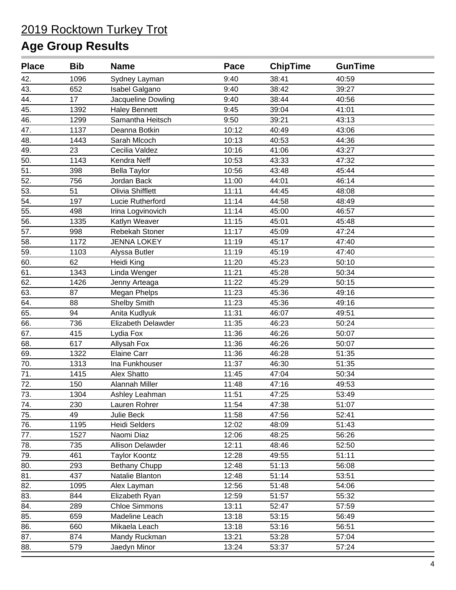| <b>Place</b> | <b>Bib</b> | <b>Name</b>             | Pace  | <b>ChipTime</b> | <b>GunTime</b> |  |
|--------------|------------|-------------------------|-------|-----------------|----------------|--|
| 42.          | 1096       | Sydney Layman           | 9:40  | 38:41           | 40:59          |  |
| 43.          | 652        | Isabel Galgano          | 9:40  | 38:42           | 39:27          |  |
| 44.          | 17         | Jacqueline Dowling      | 9:40  | 38:44           | 40:56          |  |
| 45.          | 1392       | <b>Haley Bennett</b>    | 9:45  | 39:04           | 41:01          |  |
| 46.          | 1299       | Samantha Heitsch        | 9:50  | 39:21           | 43:13          |  |
| 47.          | 1137       | Deanna Botkin           | 10:12 | 40:49           | 43:06          |  |
| 48.          | 1443       | Sarah Mlcoch            | 10:13 | 40:53           | 44:36          |  |
| 49.          | 23         | Cecilia Valdez          | 10:16 | 41:06           | 43:27          |  |
| 50.          | 1143       | Kendra Neff             | 10:53 | 43:33           | 47:32          |  |
| 51.          | 398        | <b>Bella Taylor</b>     | 10:56 | 43:48           | 45:44          |  |
| 52.          | 756        | Jordan Back             | 11:00 | 44:01           | 46:14          |  |
| 53.          | 51         | Olivia Shifflett        | 11:11 | 44:45           | 48:08          |  |
| 54.          | 197        | Lucie Rutherford        | 11:14 | 44:58           | 48:49          |  |
| 55.          | 498        | Irina Logvinovich       | 11:14 | 45:00           | 46:57          |  |
| 56.          | 1335       | Katlyn Weaver           | 11:15 | 45:01           | 45:48          |  |
| 57.          | 998        | Rebekah Stoner          | 11:17 | 45:09           | 47:24          |  |
| 58.          | 1172       | <b>JENNA LOKEY</b>      | 11:19 | 45:17           | 47:40          |  |
| 59.          | 1103       | Alyssa Butler           | 11:19 | 45:19           | 47:40          |  |
| 60.          | 62         | Heidi King              | 11:20 | 45:23           | 50:10          |  |
| 61.          | 1343       | Linda Wenger            | 11:21 | 45:28           | 50:34          |  |
| 62.          | 1426       | Jenny Arteaga           | 11:22 | 45:29           | 50:15          |  |
| 63.          | 87         | <b>Megan Phelps</b>     | 11:23 | 45:36           | 49:16          |  |
| 64.          | 88         | Shelby Smith            | 11:23 | 45:36           | 49:16          |  |
| 65.          | 94         | Anita Kudlyuk           | 11:31 | 46:07           | 49:51          |  |
| 66.          | 736        | Elizabeth Delawder      | 11:35 | 46:23           | 50:24          |  |
| 67.          | 415        | Lydia Fox               | 11:36 | 46:26           | 50:07          |  |
| 68.          | 617        | Allysah Fox             | 11:36 | 46:26           | 50:07          |  |
| 69.          | 1322       | <b>Elaine Carr</b>      | 11:36 | 46:28           | 51:35          |  |
| 70.          | 1313       | Ina Funkhouser          | 11:37 | 46:30           | 51:35          |  |
| 71.          | 1415       | Alex Shatto             | 11:45 | 47:04           | 50:34          |  |
| 72.          | 150        | Alannah Miller          | 11:48 | 47:16           | 49:53          |  |
| 73.          | 1304       | Ashley Leahman          | 11:51 | 47:25           | 53:49          |  |
| 74.          | 230        | Lauren Rohrer           | 11:54 | 47:38           | 51:07          |  |
| 75.          | 49         | Julie Beck              | 11:58 | 47:56           | 52:41          |  |
| 76.          | 1195       | Heidi Selders           | 12:02 | 48:09           | 51:43          |  |
| 77.          | 1527       | Naomi Diaz              | 12:06 | 48:25           | 56:26          |  |
| 78.          | 735        | <b>Allison Delawder</b> | 12:11 | 48:46           | 52:50          |  |
| 79.          | 461        | <b>Taylor Koontz</b>    | 12:28 | 49:55           | 51:11          |  |
| 80.          | 293        | Bethany Chupp           | 12:48 | 51:13           | 56:08          |  |
| 81.          | 437        | Natalie Blanton         | 12:48 | 51:14           | 53:51          |  |
| 82.          | 1095       | Alex Layman             | 12:56 | 51:48           | 54:06          |  |
| 83.          | 844        | Elizabeth Ryan          | 12:59 | 51:57           | 55:32          |  |
| 84.          | 289        | <b>Chloe Simmons</b>    | 13:11 | 52:47           | 57:59          |  |
| 85.          | 659        | Madeline Leach          | 13:18 | 53:15           | 56:49          |  |
| 86.          | 660        | Mikaela Leach           | 13:18 | 53:16           | 56:51          |  |
| 87.          | 874        | Mandy Ruckman           | 13:21 | 53:28           | 57:04          |  |
| 88.          | 579        | Jaedyn Minor            | 13:24 | 53:37           | 57:24          |  |
|              |            |                         |       |                 |                |  |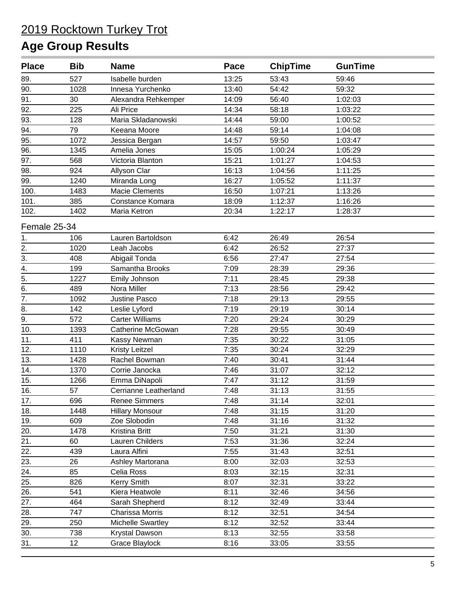| <b>Place</b>     | <b>Bib</b> | <b>Name</b>            | Pace  | <b>ChipTime</b> | <b>GunTime</b> |  |
|------------------|------------|------------------------|-------|-----------------|----------------|--|
| 89.              | 527        | Isabelle burden        | 13:25 | 53:43           | 59:46          |  |
| 90.              | 1028       | Innesa Yurchenko       | 13:40 | 54:42           | 59:32          |  |
| 91.              | 30         | Alexandra Rehkemper    | 14:09 | 56:40           | 1:02:03        |  |
| 92.              | 225        | Ali Price              | 14:34 | 58:18           | 1:03:22        |  |
| 93.              | 128        | Maria Skladanowski     | 14:44 | 59:00           | 1:00:52        |  |
| 94.              | 79         | Keeana Moore           | 14:48 | 59:14           | 1:04:08        |  |
| 95.              | 1072       | Jessica Bergan         | 14:57 | 59:50           | 1:03:47        |  |
| 96.              | 1345       | Amelia Jones           | 15:05 | 1:00:24         | 1:05:29        |  |
| 97.              | 568        | Victoria Blanton       | 15:21 | 1:01:27         | 1:04:53        |  |
| 98.              | 924        | Allyson Clar           | 16:13 | 1:04:56         | 1:11:25        |  |
| 99.              | 1240       | Miranda Long           | 16:27 | 1:05:52         | 1:11:37        |  |
| 100.             | 1483       | <b>Macie Clements</b>  | 16:50 | 1:07:21         | 1:13:26        |  |
| 101.             | 385        | Constance Komara       | 18:09 | 1:12:37         | 1:16:26        |  |
| 102.             | 1402       | Maria Ketron           | 20:34 | 1:22:17         | 1:28:37        |  |
| Female 25-34     |            |                        |       |                 |                |  |
| 1.               | 106        | Lauren Bartoldson      | 6:42  | 26:49           | 26:54          |  |
| 2.               | 1020       | Leah Jacobs            | 6:42  | 26:52           | 27:37          |  |
| 3.               | 408        | Abigail Tonda          | 6:56  | 27:47           | 27:54          |  |
| 4.               | 199        | Samantha Brooks        | 7:09  | 28:39           | 29:36          |  |
| $\overline{5}$ . | 1227       | Emily Johnson          | 7:11  | 28:45           | 29:38          |  |
| 6.               | 489        | Nora Miller            | 7:13  | 28:56           | 29:42          |  |
| 7.               | 1092       | Justine Pasco          | 7:18  | 29:13           | 29:55          |  |
| 8.               | 142        | Leslie Lyford          | 7:19  | 29:19           | 30:14          |  |
| 9.               | 572        | <b>Carter Williams</b> | 7:20  | 29:24           | 30:29          |  |
| 10.              | 1393       | Catherine McGowan      | 7:28  | 29:55           | 30:49          |  |
| 11.              | 411        | Kassy Newman           | 7:35  | 30:22           | 31:05          |  |
| 12.              | 1110       | <b>Kristy Leitzel</b>  | 7:35  | 30:24           | 32:29          |  |
| 13.              | 1428       | Rachel Bowman          | 7:40  | 30:41           | 31:44          |  |
| 14.              | 1370       | Corrie Janocka         | 7:46  | 31:07           | 32:12          |  |
| 15.              | 1266       | Emma DiNapoli          | 7:47  | 31:12           | 31:59          |  |
| 16.              | 57         | Cerrianne Leatherland  | 7:48  | 31:13           | 31:55          |  |
| 17.              | 696        | <b>Renee Simmers</b>   | 7:48  | 31:14           | 32:01          |  |
| 18.              | 1448       | <b>Hillary Monsour</b> | 7:48  | 31:15           | 31:20          |  |
| 19.              | 609        | Zoe Slobodin           | 7:48  | 31:16           | 31:32          |  |
| 20.              | 1478       | Kristina Britt         | 7:50  | 31:21           | 31:30          |  |
| 21.              | 60         | Lauren Childers        | 7:53  | 31:36           | 32:24          |  |
| 22.              | 439        | Laura Alfini           | 7:55  | 31:43           | 32:51          |  |
| 23.              | 26         | Ashley Martorana       | 8:00  | 32:03           | 32:53          |  |
| 24.              | 85         | Celia Ross             | 8:03  | 32:15           | 32:31          |  |
| 25.              | 826        | Kerry Smith            | 8:07  | 32:31           | 33:22          |  |
| 26.              | 541        | Kiera Heatwole         | 8:11  | 32:46           | 34:56          |  |
| 27.              | 464        | Sarah Shepherd         | 8:12  | 32:49           | 33:44          |  |
| 28.              | 747        | Charissa Morris        | 8:12  | 32:51           | 34:54          |  |
| 29.              | 250        | Michelle Swartley      | 8:12  | 32:52           | 33:44          |  |
| 30.              | 738        | Krystal Dawson         | 8:13  | 32:55           | 33:58          |  |
| 31.              | 12         | Grace Blaylock         | 8:16  | 33:05           | 33:55          |  |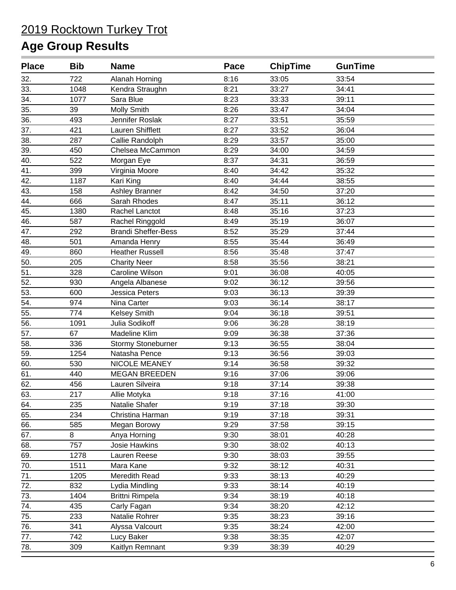| <b>Place</b> | <b>Bib</b> | <b>Name</b>                | Pace | <b>ChipTime</b> | <b>GunTime</b> |  |
|--------------|------------|----------------------------|------|-----------------|----------------|--|
| 32.          | 722        | Alanah Horning             | 8:16 | 33:05           | 33:54          |  |
| 33.          | 1048       | Kendra Straughn            | 8:21 | 33:27           | 34:41          |  |
| 34.          | 1077       | Sara Blue                  | 8:23 | 33:33           | 39:11          |  |
| 35.          | 39         | <b>Molly Smith</b>         | 8:26 | 33:47           | 34:04          |  |
| 36.          | 493        | Jennifer Roslak            | 8:27 | 33:51           | 35:59          |  |
| 37.          | 421        | Lauren Shifflett           | 8:27 | 33:52           | 36:04          |  |
| 38.          | 287        | Callie Randolph            | 8:29 | 33:57           | 35:00          |  |
| 39.          | 450        | Chelsea McCammon           | 8:29 | 34:00           | 34:59          |  |
| 40.          | 522        | Morgan Eye                 | 8:37 | 34:31           | 36:59          |  |
| 41.          | 399        | Virginia Moore             | 8:40 | 34:42           | 35:32          |  |
| 42.          | 1187       | Kari King                  | 8:40 | 34:44           | 38:55          |  |
| 43.          | 158        | Ashley Branner             | 8:42 | 34:50           | 37:20          |  |
| 44.          | 666        | Sarah Rhodes               | 8:47 | 35:11           | 36:12          |  |
| 45.          | 1380       | Rachel Lanctot             | 8:48 | 35:16           | 37:23          |  |
| 46.          | 587        | Rachel Ringgold            | 8:49 | 35:19           | 36:07          |  |
| 47.          | 292        | <b>Brandi Sheffer-Bess</b> | 8:52 | 35:29           | 37:44          |  |
| 48.          | 501        | Amanda Henry               | 8:55 | 35:44           | 36:49          |  |
| 49.          | 860        | <b>Heather Russell</b>     | 8:56 | 35:48           | 37:47          |  |
| 50.          | 205        | <b>Charity Neer</b>        | 8:58 | 35:56           | 38:21          |  |
| 51.          | 328        | Caroline Wilson            | 9:01 | 36:08           | 40:05          |  |
| 52.          | 930        | Angela Albanese            | 9:02 | 36:12           | 39:56          |  |
| 53.          | 600        | Jessica Peters             | 9:03 | 36:13           | 39:39          |  |
| 54.          | 974        | Nina Carter                | 9:03 | 36:14           | 38:17          |  |
| 55.          | 774        | <b>Kelsey Smith</b>        | 9:04 | 36:18           | 39:51          |  |
| 56.          | 1091       | Julia Sodikoff             | 9:06 | 36:28           | 38:19          |  |
| 57.          | 67         | Madeline Klim              | 9:09 | 36:38           | 37:36          |  |
| 58.          | 336        | Stormy Stoneburner         | 9:13 | 36:55           | 38:04          |  |
| 59.          | 1254       | Natasha Pence              | 9:13 | 36:56           | 39:03          |  |
| 60.          | 530        | NICOLE MEANEY              | 9:14 | 36:58           | 39:32          |  |
| 61.          | 440        | <b>MEGAN BREEDEN</b>       | 9:16 | 37:06           | 39:06          |  |
| 62.          | 456        | Lauren Silveira            | 9:18 | 37:14           | 39:38          |  |
| 63.          | 217        | Allie Motyka               | 9:18 | 37:16           | 41:00          |  |
| 64.          | 235        | Natalie Shafer             | 9:19 | 37:18           | 39:30          |  |
| 65.          | 234        | Christina Harman           | 9:19 | 37:18           | 39:31          |  |
| 66.          | 585        | Megan Borowy               | 9:29 | 37:58           | 39:15          |  |
| 67.          | 8          | Anya Horning               | 9:30 | 38:01           | 40:28          |  |
| 68.          | 757        | <b>Josie Hawkins</b>       | 9:30 | 38:02           | 40:13          |  |
| 69.          | 1278       | Lauren Reese               | 9:30 | 38:03           | 39:55          |  |
| 70.          | 1511       | Mara Kane                  | 9:32 | 38:12           | 40:31          |  |
| 71.          | 1205       | Meredith Read              | 9:33 | 38:13           | 40:29          |  |
| 72.          | 832        | Lydia Mindling             | 9:33 | 38:14           | 40:19          |  |
| 73.          | 1404       | <b>Brittni Rimpela</b>     | 9:34 | 38:19           | 40:18          |  |
| 74.          | 435        | Carly Fagan                | 9:34 | 38:20           | 42:12          |  |
| 75.          | 233        | Natalie Rohrer             | 9:35 | 38:23           | 39:16          |  |
| 76.          | 341        | Alyssa Valcourt            | 9:35 | 38:24           | 42:00          |  |
| 77.          | 742        | Lucy Baker                 | 9:38 | 38:35           | 42:07          |  |
| 78.          | 309        | Kaitlyn Remnant            | 9:39 | 38:39           | 40:29          |  |
|              |            |                            |      |                 |                |  |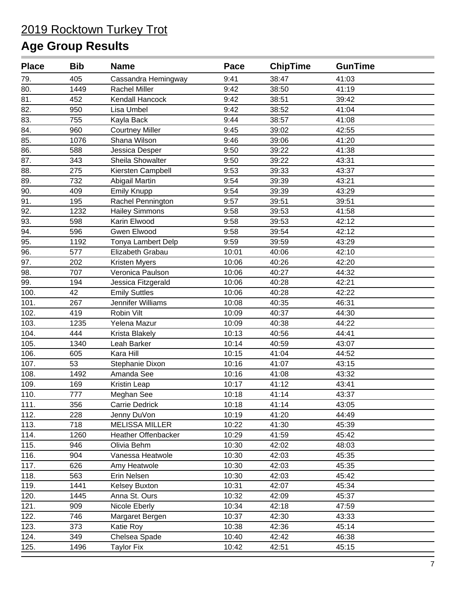| <b>Place</b> | <b>Bib</b> | <b>Name</b>            | Pace  | <b>ChipTime</b> | <b>GunTime</b> |  |
|--------------|------------|------------------------|-------|-----------------|----------------|--|
| 79.          | 405        | Cassandra Hemingway    | 9:41  | 38:47           | 41:03          |  |
| 80.          | 1449       | <b>Rachel Miller</b>   | 9:42  | 38:50           | 41:19          |  |
| 81.          | 452        | Kendall Hancock        | 9:42  | 38:51           | 39:42          |  |
| 82.          | 950        | Lisa Umbel             | 9:42  | 38:52           | 41:04          |  |
| 83.          | 755        | Kayla Back             | 9:44  | 38:57           | 41:08          |  |
| 84.          | 960        | <b>Courtney Miller</b> | 9:45  | 39:02           | 42:55          |  |
| 85.          | 1076       | Shana Wilson           | 9:46  | 39:06           | 41:20          |  |
| 86.          | 588        | Jessica Desper         | 9:50  | 39:22           | 41:38          |  |
| 87.          | 343        | Sheila Showalter       | 9:50  | 39:22           | 43:31          |  |
| 88.          | 275        | Kiersten Campbell      | 9:53  | 39:33           | 43:37          |  |
| 89.          | 732        | Abigail Martin         | 9:54  | 39:39           | 43:21          |  |
| 90.          | 409        | <b>Emily Knupp</b>     | 9:54  | 39:39           | 43:29          |  |
| 91.          | 195        | Rachel Pennington      | 9:57  | 39:51           | 39:51          |  |
| 92.          | 1232       | <b>Hailey Simmons</b>  | 9:58  | 39:53           | 41:58          |  |
| 93.          | 598        | Karin Elwood           | 9:58  | 39:53           | 42:12          |  |
| 94.          | 596        | Gwen Elwood            | 9:58  | 39:54           | 42:12          |  |
| 95.          | 1192       | Tonya Lambert Delp     | 9:59  | 39:59           | 43:29          |  |
| 96.          | 577        | Elizabeth Grabau       | 10:01 | 40:06           | 42:10          |  |
| 97.          | 202        | Kristen Myers          | 10:06 | 40:26           | 42:20          |  |
| 98.          | 707        | Veronica Paulson       | 10:06 | 40:27           | 44:32          |  |
| 99.          | 194        | Jessica Fitzgerald     | 10:06 | 40:28           | 42:21          |  |
| 100.         | 42         | <b>Emily Suttles</b>   | 10:06 | 40:28           | 42:22          |  |
| 101.         | 267        | Jennifer Williams      | 10:08 | 40:35           | 46:31          |  |
| 102.         | 419        | Robin Vilt             | 10:09 | 40:37           | 44:30          |  |
| 103.         | 1235       | Yelena Mazur           | 10:09 | 40:38           | 44:22          |  |
| 104.         | 444        | Krista Blakely         | 10:13 | 40:56           | 44:41          |  |
| 105.         | 1340       | Leah Barker            | 10:14 | 40:59           | 43:07          |  |
| 106.         | 605        | Kara Hill              | 10:15 | 41:04           | 44:52          |  |
| 107.         | 53         | Stephanie Dixon        | 10:16 | 41:07           | 43:15          |  |
| 108.         | 1492       | Amanda See             | 10:16 | 41:08           | 43:32          |  |
| 109.         | 169        | Kristin Leap           | 10:17 | 41:12           | 43:41          |  |
| 110.         | 777        | Meghan See             | 10:18 | 41:14           | 43:37          |  |
| 111.         | 356        | Carrie Dedrick         | 10:18 | 41:14           | 43:05          |  |
| 112.         | 228        | Jenny DuVon            | 10:19 | 41:20           | 44:49          |  |
| 113.         | 718        | <b>MELISSA MILLER</b>  | 10:22 | 41:30           | 45:39          |  |
| 114.         | 1260       | Heather Offenbacker    | 10:29 | 41:59           | 45:42          |  |
| 115.         | 946        | Olivia Behm            | 10:30 | 42:02           | 48:03          |  |
| 116.         | 904        | Vanessa Heatwole       | 10:30 | 42:03           | 45:35          |  |
| 117.         | 626        | Amy Heatwole           | 10:30 | 42:03           | 45:35          |  |
| 118.         | 563        | Erin Nelsen            | 10:30 | 42:03           | 45:42          |  |
| 119.         | 1441       | <b>Kelsey Buxton</b>   | 10:31 | 42:07           | 45:34          |  |
| 120.         | 1445       | Anna St. Ours          | 10:32 | 42:09           | 45:37          |  |
| 121.         | 909        | Nicole Eberly          | 10:34 | 42:18           | 47:59          |  |
| 122.         | 746        | Margaret Bergen        | 10:37 | 42:30           | 43:33          |  |
| 123.         | 373        | Katie Roy              | 10:38 | 42:36           | 45:14          |  |
| 124.         | 349        | Chelsea Spade          | 10:40 | 42:42           | 46:38          |  |
| 125.         | 1496       | <b>Taylor Fix</b>      | 10:42 | 42:51           | 45:15          |  |
|              |            |                        |       |                 |                |  |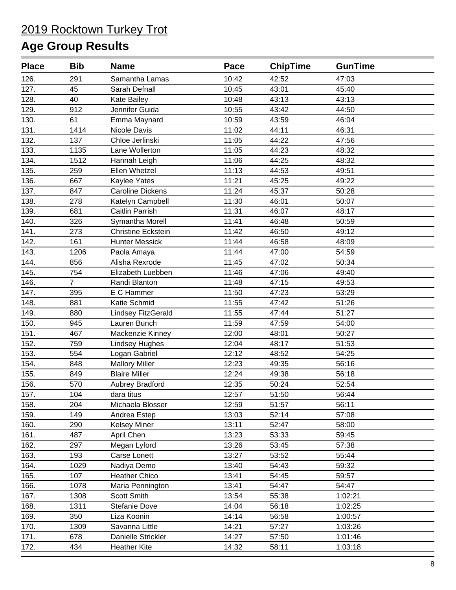| <b>Place</b> | <b>Bib</b>     | <b>Name</b>               | Pace  | <b>ChipTime</b> | <b>GunTime</b> |  |
|--------------|----------------|---------------------------|-------|-----------------|----------------|--|
| 126.         | 291            | Samantha Lamas            | 10:42 | 42:52           | 47:03          |  |
| 127.         | 45             | Sarah Defnall             | 10:45 | 43:01           | 45:40          |  |
| 128.         | 40             | Kate Bailey               | 10:48 | 43:13           | 43:13          |  |
| 129.         | 912            | Jennifer Guida            | 10:55 | 43:42           | 44:50          |  |
| 130.         | 61             | Emma Maynard              | 10:59 | 43:59           | 46:04          |  |
| 131.         | 1414           | Nicole Davis              | 11:02 | 44:11           | 46:31          |  |
| 132.         | 137            | Chloe Jerlinski           | 11:05 | 44:22           | 47:56          |  |
| 133.         | 1135           | Lane Wollerton            | 11:05 | 44:23           | 48:32          |  |
| 134.         | 1512           | Hannah Leigh              | 11:06 | 44:25           | 48:32          |  |
| 135.         | 259            | Ellen Whetzel             | 11:13 | 44:53           | 49:51          |  |
| 136.         | 667            | Kaylee Yates              | 11:21 | 45:25           | 49:22          |  |
| 137.         | 847            | <b>Caroline Dickens</b>   | 11:24 | 45:37           | 50:28          |  |
| 138.         | 278            | Katelyn Campbell          | 11:30 | 46:01           | 50:07          |  |
| 139.         | 681            | Caitlin Parrish           | 11:31 | 46:07           | 48:17          |  |
| 140.         | 326            | Symantha Morell           | 11:41 | 46:48           | 50:59          |  |
| 141.         | 273            | <b>Christine Eckstein</b> | 11:42 | 46:50           | 49:12          |  |
| 142.         | 161            | <b>Hunter Messick</b>     | 11:44 | 46:58           | 48:09          |  |
| 143.         | 1206           | Paola Amaya               | 11:44 | 47:00           | 54:59          |  |
| 144.         | 856            | Alisha Rexrode            | 11:45 | 47:02           | 50:34          |  |
| 145.         | 754            | Elizabeth Luebben         | 11:46 | 47:06           | 49:40          |  |
| 146.         | $\overline{7}$ | Randi Blanton             | 11:48 | 47:15           | 49:53          |  |
| 147.         | 395            | E C Hammer                | 11:50 | 47:23           | 53:29          |  |
| 148.         | 881            | Katie Schmid              | 11:55 | 47:42           | 51:26          |  |
| 149.         | 880            | Lindsey FitzGerald        | 11:55 | 47:44           | 51:27          |  |
| 150.         | 945            | Lauren Bunch              | 11:59 | 47:59           | 54:00          |  |
| 151.         | 467            | Mackenzie Kinney          | 12:00 | 48:01           | 50:27          |  |
| 152.         | 759            | <b>Lindsey Hughes</b>     | 12:04 | 48:17           | 51:53          |  |
| 153.         | 554            | Logan Gabriel             | 12:12 | 48:52           | 54:25          |  |
| 154.         | 848            | <b>Mallory Miller</b>     | 12:23 | 49:35           | 56:16          |  |
| 155.         | 849            | <b>Blaire Miller</b>      | 12:24 | 49:38           | 56:18          |  |
| 156.         | 570            | Aubrey Bradford           | 12:35 | 50:24           | 52:54          |  |
| 157.         | 104            | dara titus                | 12:57 | 51:50           | 56:44          |  |
| 158.         | 204            | Michaela Blosser          | 12:59 | 51:57           | 56:11          |  |
| 159.         | 149            | Andrea Estep              | 13:03 | 52:14           | 57:08          |  |
| 160.         | 290            | <b>Kelsey Miner</b>       | 13:11 | 52:47           | 58:00          |  |
| 161.         | 487            | April Chen                | 13:23 | 53:33           | 59:45          |  |
| 162.         | 297            | Megan Lyford              | 13:26 | 53:45           | 57:38          |  |
| 163.         | 193            | Carse Lonett              | 13:27 | 53:52           | 55:44          |  |
| 164.         | 1029           | Nadiya Demo               | 13:40 | 54:43           | 59:32          |  |
| 165.         | 107            | <b>Heather Chico</b>      | 13:41 | 54:45           | 59:57          |  |
| 166.         | 1078           | Maria Pennington          | 13:41 | 54:47           | 54:47          |  |
| 167.         | 1308           | Scott Smith               | 13:54 | 55:38           | 1:02:21        |  |
| 168.         | 1311           | Stefanie Dove             | 14:04 | 56:18           | 1:02:25        |  |
| 169.         | 350            | Liza Koonin               | 14:14 | 56:58           | 1:00:57        |  |
| 170.         | 1309           | Savanna Little            | 14:21 | 57:27           | 1:03:26        |  |
| 171.         | 678            | Danielle Strickler        | 14:27 | 57:50           | 1:01:46        |  |
| 172.         | 434            | <b>Heather Kite</b>       | 14:32 | 58:11           | 1:03:18        |  |
|              |                |                           |       |                 |                |  |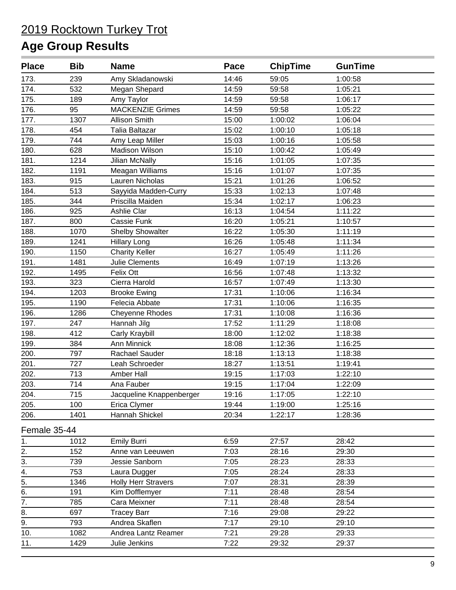| <b>Place</b> | <b>Bib</b> | <b>Name</b>                | Pace  | <b>ChipTime</b> | <b>GunTime</b> |  |
|--------------|------------|----------------------------|-------|-----------------|----------------|--|
| 173.         | 239        | Amy Skladanowski           | 14:46 | 59:05           | 1:00:58        |  |
| 174.         | 532        | Megan Shepard              | 14:59 | 59:58           | 1:05:21        |  |
| 175.         | 189        | Amy Taylor                 | 14:59 | 59:58           | 1:06:17        |  |
| 176.         | 95         | <b>MACKENZIE Grimes</b>    | 14:59 | 59:58           | 1:05:22        |  |
| 177.         | 1307       | <b>Allison Smith</b>       | 15:00 | 1:00:02         | 1:06:04        |  |
| 178.         | 454        | Talia Baltazar             | 15:02 | 1:00:10         | 1:05:18        |  |
| 179.         | 744        | Amy Leap Miller            | 15:03 | 1:00:16         | 1:05:58        |  |
| 180.         | 628        | Madison Wilson             | 15:10 | 1:00:42         | 1:05:49        |  |
| 181.         | 1214       | Jilian McNally             | 15:16 | 1:01:05         | 1:07:35        |  |
| 182.         | 1191       | Meagan Williams            | 15:16 | 1:01:07         | 1:07:35        |  |
| 183.         | 915        | Lauren Nicholas            | 15:21 | 1:01:26         | 1:06:52        |  |
| 184.         | 513        | Sayyida Madden-Curry       | 15:33 | 1:02:13         | 1:07:48        |  |
| 185.         | 344        | Priscilla Maiden           | 15:34 | 1:02:17         | 1:06:23        |  |
| 186.         | 925        | Ashlie Clar                | 16:13 | 1:04:54         | 1:11:22        |  |
| 187.         | 800        | Cassie Funk                | 16:20 | 1:05:21         | 1:10:57        |  |
| 188.         | 1070       | <b>Shelby Showalter</b>    | 16:22 | 1:05:30         | 1:11:19        |  |
| 189.         | 1241       | <b>Hillary Long</b>        | 16:26 | 1:05:48         | 1:11:34        |  |
| 190.         | 1150       | <b>Charity Keller</b>      | 16:27 | 1:05:49         | 1:11:26        |  |
| 191.         | 1481       | Julie Clements             | 16:49 | 1:07:19         | 1:13:26        |  |
| 192.         | 1495       | Felix Ott                  | 16:56 | 1:07:48         | 1:13:32        |  |
| 193.         | 323        | Cierra Harold              | 16:57 | 1:07:49         | 1:13:30        |  |
| 194.         | 1203       | <b>Brooke Ewing</b>        | 17:31 | 1:10:06         | 1:16:34        |  |
| 195.         | 1190       | Felecia Abbate             | 17:31 | 1:10:06         | 1:16:35        |  |
| 196.         | 1286       | <b>Cheyenne Rhodes</b>     | 17:31 | 1:10:08         | 1:16:36        |  |
| 197.         | 247        | Hannah Jilg                | 17:52 | 1:11:29         | 1:18:08        |  |
| 198.         | 412        | Carly Kraybill             | 18:00 | 1:12:02         | 1:18:38        |  |
| 199.         | 384        | <b>Ann Minnick</b>         | 18:08 | 1:12:36         | 1:16:25        |  |
| 200.         | 797        | Rachael Sauder             | 18:18 | 1:13:13         | 1:18:38        |  |
| 201.         | 727        | Leah Schroeder             | 18:27 | 1:13:51         | 1:19:41        |  |
| 202.         | 713        | Amber Hall                 | 19:15 | 1:17:03         | 1:22:10        |  |
| 203.         | 714        | Ana Fauber                 | 19:15 | 1:17:04         | 1:22:09        |  |
| 204.         | 715        | Jacqueline Knappenberger   | 19:16 | 1:17:05         | 1:22:10        |  |
| 205.         | 100        | Erica Clymer               | 19:44 | 1:19:00         | 1:25:16        |  |
| 206.         | 1401       | Hannah Shickel             | 20:34 | 1:22:17         | 1:28:36        |  |
| Female 35-44 |            |                            |       |                 |                |  |
| 1.           | 1012       | <b>Emily Burri</b>         | 6:59  | 27:57           | 28:42          |  |
| 2.           | 152        | Anne van Leeuwen           | 7:03  | 28:16           | 29:30          |  |
| 3.           | 739        | Jessie Sanborn             | 7:05  | 28:23           | 28:33          |  |
| 4.           | 753        | Laura Dugger               | 7:05  | 28:24           | 28:33          |  |
| 5.           | 1346       | <b>Holly Herr Stravers</b> | 7:07  | 28:31           | 28:39          |  |
| 6.           | 191        | Kim Dofflemyer             | 7:11  | 28:48           | 28:54          |  |
| 7.           | 785        | Cara Meixner               | 7:11  | 28:48           | 28:54          |  |
| 8.           | 697        | <b>Tracey Barr</b>         | 7:16  | 29:08           | 29:22          |  |
| 9.           | 793        | Andrea Skaflen             | 7:17  | 29:10           | 29:10          |  |
| 10.          | 1082       | Andrea Lantz Reamer        | 7:21  | 29:28           | 29:33          |  |
| 11.          | 1429       | Julie Jenkins              | 7:22  | 29:32           | 29:37          |  |
|              |            |                            |       |                 |                |  |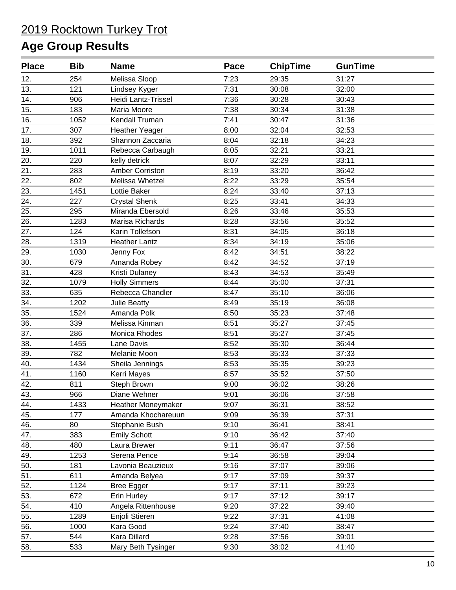| <b>Place</b> | <b>Bib</b> | <b>Name</b>           | Pace | <b>ChipTime</b> | <b>GunTime</b> |  |
|--------------|------------|-----------------------|------|-----------------|----------------|--|
| 12.          | 254        | Melissa Sloop         | 7:23 | 29:35           | 31:27          |  |
| 13.          | 121        | Lindsey Kyger         | 7:31 | 30:08           | 32:00          |  |
| 14.          | 906        | Heidi Lantz-Trissel   | 7:36 | 30:28           | 30:43          |  |
| 15.          | 183        | Maria Moore           | 7:38 | 30:34           | 31:38          |  |
| 16.          | 1052       | Kendall Truman        | 7:41 | 30:47           | 31:36          |  |
| 17.          | 307        | <b>Heather Yeager</b> | 8:00 | 32:04           | 32:53          |  |
| 18.          | 392        | Shannon Zaccaria      | 8:04 | 32:18           | 34:23          |  |
| 19.          | 1011       | Rebecca Carbaugh      | 8:05 | 32:21           | 33:21          |  |
| 20.          | 220        | kelly detrick         | 8:07 | 32:29           | 33:11          |  |
| 21.          | 283        | Amber Corriston       | 8:19 | 33:20           | 36:42          |  |
| 22.          | 802        | Melissa Whetzel       | 8:22 | 33:29           | 35:54          |  |
| 23.          | 1451       | Lottie Baker          | 8:24 | 33:40           | 37:13          |  |
| 24.          | 227        | <b>Crystal Shenk</b>  | 8:25 | 33:41           | 34:33          |  |
| 25.          | 295        | Miranda Ebersold      | 8:26 | 33:46           | 35:53          |  |
| 26.          | 1283       | Marisa Richards       | 8:28 | 33:56           | 35:52          |  |
| 27.          | 124        | Karin Tollefson       | 8:31 | 34:05           | 36:18          |  |
| 28.          | 1319       | <b>Heather Lantz</b>  | 8:34 | 34:19           | 35:06          |  |
| 29.          | 1030       | Jenny Fox             | 8:42 | 34:51           | 38:22          |  |
| 30.          | 679        | Amanda Robey          | 8:42 | 34:52           | 37:19          |  |
| 31.          | 428        | Kristi Dulaney        | 8:43 | 34:53           | 35:49          |  |
| 32.          | 1079       | <b>Holly Simmers</b>  | 8:44 | 35:00           | 37:31          |  |
| 33.          | 635        | Rebecca Chandler      | 8:47 | 35:10           | 36:06          |  |
| 34.          | 1202       | <b>Julie Beatty</b>   | 8:49 | 35:19           | 36:08          |  |
| 35.          | 1524       | Amanda Polk           | 8:50 | 35:23           | 37:48          |  |
| 36.          | 339        | Melissa Kinman        | 8:51 | 35:27           | 37:45          |  |
| 37.          | 286        | Monica Rhodes         | 8:51 | 35:27           | 37:45          |  |
| 38.          | 1455       | Lane Davis            | 8:52 | 35:30           | 36:44          |  |
| 39.          | 782        | Melanie Moon          | 8:53 | 35:33           | 37:33          |  |
| 40.          | 1434       | Sheila Jennings       | 8:53 | 35:35           | 39:23          |  |
| 41.          | 1160       | Kerri Mayes           | 8:57 | 35:52           | 37:50          |  |
| 42.          | 811        | Steph Brown           | 9:00 | 36:02           | 38:26          |  |
| 43.          | 966        | Diane Wehner          | 9:01 | 36:06           | 37:58          |  |
| 44.          | 1433       | Heather Moneymaker    | 9:07 | 36:31           | 38:52          |  |
| 45.          | 177        | Amanda Khochareuun    | 9:09 | 36:39           | 37:31          |  |
| 46.          | 80         | Stephanie Bush        | 9:10 | 36:41           | 38:41          |  |
| 47.          | 383        | <b>Emily Schott</b>   | 9:10 | 36:42           | 37:40          |  |
| 48.          | 480        | Laura Brewer          | 9:11 | 36:47           | 37:56          |  |
| 49.          | 1253       | Serena Pence          | 9:14 | 36:58           | 39:04          |  |
| 50.          | 181        | Lavonia Beauzieux     | 9:16 | 37:07           | 39:06          |  |
| 51.          | 611        | Amanda Belyea         | 9:17 | 37:09           | 39:37          |  |
| 52.          | 1124       | <b>Bree Egger</b>     | 9:17 | 37:11           | 39:23          |  |
| 53.          | 672        | Erin Hurley           | 9:17 | 37:12           | 39:17          |  |
| 54.          | 410        | Angela Rittenhouse    | 9:20 | 37:22           | 39:40          |  |
| 55.          | 1289       | Enjoli Stieren        | 9:22 | 37:31           | 41:08          |  |
| 56.          | 1000       | Kara Good             | 9:24 | 37:40           | 38:47          |  |
| 57.          | 544        | Kara Dillard          | 9:28 | 37:56           | 39:01          |  |
| 58.          | 533        | Mary Beth Tysinger    | 9:30 | 38:02           | 41:40          |  |
|              |            |                       |      |                 |                |  |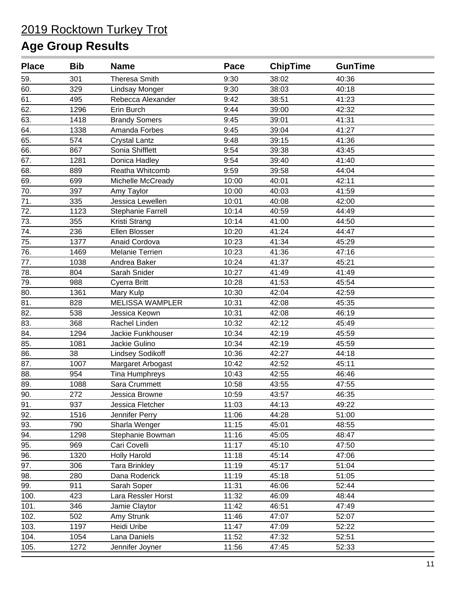| <b>Place</b> | <b>Bib</b> | <b>Name</b>             | Pace  | <b>ChipTime</b> | <b>GunTime</b> |  |
|--------------|------------|-------------------------|-------|-----------------|----------------|--|
| 59.          | 301        | <b>Theresa Smith</b>    | 9:30  | 38:02           | 40:36          |  |
| 60.          | 329        | Lindsay Monger          | 9:30  | 38:03           | 40:18          |  |
| 61.          | 495        | Rebecca Alexander       | 9:42  | 38:51           | 41:23          |  |
| 62.          | 1296       | Erin Burch              | 9:44  | 39:00           | 42:32          |  |
| 63.          | 1418       | <b>Brandy Somers</b>    | 9:45  | 39:01           | 41:31          |  |
| 64.          | 1338       | Amanda Forbes           | 9:45  | 39:04           | 41:27          |  |
| 65.          | 574        | <b>Crystal Lantz</b>    | 9:48  | 39:15           | 41:36          |  |
| 66.          | 867        | Sonia Shifflett         | 9:54  | 39:38           | 43:45          |  |
| 67.          | 1281       | Donica Hadley           | 9:54  | 39:40           | 41:40          |  |
| 68.          | 889        | Reatha Whitcomb         | 9:59  | 39:58           | 44:04          |  |
| 69.          | 699        | Michelle McCready       | 10:00 | 40:01           | 42:11          |  |
| 70.          | 397        | Amy Taylor              | 10:00 | 40:03           | 41:59          |  |
| 71.          | 335        | Jessica Lewellen        | 10:01 | 40:08           | 42:00          |  |
| 72.          | 1123       | Stephanie Farrell       | 10:14 | 40:59           | 44:49          |  |
| 73.          | 355        | Kristi Strang           | 10:14 | 41:00           | 44:50          |  |
| 74.          | 236        | Ellen Blosser           | 10:20 | 41:24           | 44:47          |  |
| 75.          | 1377       | Anaid Cordova           | 10:23 | 41:34           | 45:29          |  |
| 76.          | 1469       | Melanie Terrien         | 10:23 | 41:36           | 47:16          |  |
| 77.          | 1038       | Andrea Baker            | 10:24 | 41:37           | 45:21          |  |
| 78.          | 804        | Sarah Snider            | 10:27 | 41:49           | 41:49          |  |
| 79.          | 988        | Cyerra Britt            | 10:28 | 41:53           | 45:54          |  |
| 80.          | 1361       | Mary Kulp               | 10:30 | 42:04           | 42:59          |  |
| 81.          | 828        | <b>MELISSA WAMPLER</b>  | 10:31 | 42:08           | 45:35          |  |
| 82.          | 538        | Jessica Keown           | 10:31 | 42:08           | 46:19          |  |
| 83.          | 368        | Rachel Linden           | 10:32 | 42:12           | 45:49          |  |
| 84.          | 1294       | Jackie Funkhouser       | 10:34 | 42:19           | 45:59          |  |
| 85.          | 1081       | Jackie Gulino           | 10:34 | 42:19           | 45:59          |  |
| 86.          | 38         | <b>Lindsey Sodikoff</b> | 10:36 | 42:27           | 44:18          |  |
| 87.          | 1007       | Margaret Arbogast       | 10:42 | 42:52           | 45:11          |  |
| 88.          | 954        | <b>Tina Humphreys</b>   | 10:43 | 42:55           | 46:46          |  |
| 89.          | 1088       | Sara Crummett           | 10:58 | 43:55           | 47:55          |  |
| 90.          | 272        | Jessica Browne          | 10:59 | 43:57           | 46:35          |  |
| 91.          | 937        | Jessica Fletcher        | 11:03 | 44:13           | 49:22          |  |
| 92.          | 1516       | Jennifer Perry          | 11:06 | 44:28           | 51:00          |  |
| 93.          | 790        | Sharla Wenger           | 11:15 | 45:01           | 48:55          |  |
| 94.          | 1298       | Stephanie Bowman        | 11:16 | 45:05           | 48:47          |  |
| 95.          | 969        | Cari Covelli            | 11:17 | 45:10           | 47:50          |  |
| 96.          | 1320       | <b>Holly Harold</b>     | 11:18 | 45:14           | 47:06          |  |
| 97.          | 306        | <b>Tara Brinkley</b>    | 11:19 | 45:17           | 51:04          |  |
| 98.          | 280        | Dana Roderick           | 11:19 | 45:18           | 51:05          |  |
| 99.          | 911        | Sarah Soper             | 11:31 | 46:06           | 52:44          |  |
| 100.         | 423        | Lara Ressler Horst      | 11:32 | 46:09           | 48:44          |  |
| 101.         | 346        | Jamie Claytor           | 11:42 | 46:51           | 47:49          |  |
| 102.         | 502        | Amy Strunk              | 11:46 | 47:07           | 52:07          |  |
| 103.         | 1197       | Heidi Uribe             | 11:47 | 47:09           | 52:22          |  |
| 104.         | 1054       | Lana Daniels            | 11:52 | 47:32           | 52:51          |  |
| 105.         | 1272       | Jennifer Joyner         | 11:56 | 47:45           | 52:33          |  |
|              |            |                         |       |                 |                |  |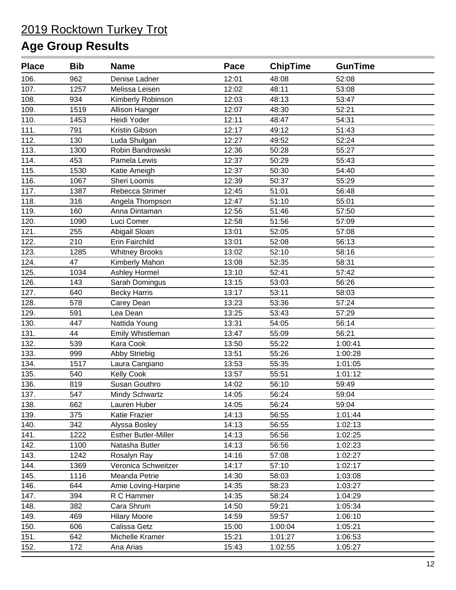| <b>Place</b> | <b>Bib</b> | <b>Name</b>                 | Pace  | <b>ChipTime</b> | <b>GunTime</b> |  |
|--------------|------------|-----------------------------|-------|-----------------|----------------|--|
| 106.         | 962        | Denise Ladner               | 12:01 | 48:08           | 52:08          |  |
| 107.         | 1257       | Melissa Leisen              | 12:02 | 48:11           | 53:08          |  |
| 108.         | 934        | Kimberly Robinson           | 12:03 | 48:13           | 53:47          |  |
| 109.         | 1519       | Allison Hanger              | 12:07 | 48:30           | 52:21          |  |
| 110.         | 1453       | Heidi Yoder                 | 12:11 | 48:47           | 54:31          |  |
| 111.         | 791        | Kristin Gibson              | 12:17 | 49:12           | 51:43          |  |
| 112.         | 130        | Luda Shulgan                | 12:27 | 49:52           | 52:24          |  |
| 113.         | 1300       | Robin Bandrowski            | 12:36 | 50:28           | 55:27          |  |
| 114.         | 453        | Pamela Lewis                | 12:37 | 50:29           | 55:43          |  |
| 115.         | 1530       | Katie Ameigh                | 12:37 | 50:30           | 54:40          |  |
| 116.         | 1067       | Sheri Loomis                | 12:39 | 50:37           | 55:29          |  |
| 117.         | 1387       | Rebecca Strimer             | 12:45 | 51:01           | 56:48          |  |
| 118.         | 316        | Angela Thompson             | 12:47 | 51:10           | 55:01          |  |
| 119.         | 160        | Anna Dintaman               | 12:56 | 51:46           | 57:50          |  |
| 120.         | 1090       | Luci Comer                  | 12:58 | 51:56           | 57:09          |  |
| 121.         | 255        | Abigail Sloan               | 13:01 | 52:05           | 57:08          |  |
| 122.         | 210        | Erin Fairchild              | 13:01 | 52:08           | 56:13          |  |
| 123.         | 1285       | <b>Whitney Brooks</b>       | 13:02 | 52:10           | 58:16          |  |
| 124.         | 47         | Kimberly Mahon              | 13:08 | 52:35           | 58:31          |  |
| 125.         | 1034       | Ashley Hormel               | 13:10 | 52:41           | 57:42          |  |
| 126.         | 143        | Sarah Domingus              | 13:15 | 53:03           | 56:26          |  |
| 127.         | 640        | <b>Becky Harris</b>         | 13:17 | 53:11           | 58:03          |  |
| 128.         | 578        | Carey Dean                  | 13:23 | 53:36           | 57:24          |  |
| 129.         | 591        | Lea Dean                    | 13:25 | 53:43           | 57:29          |  |
| 130.         | 447        | Nattida Young               | 13:31 | 54:05           | 56:14          |  |
| 131.         | 44         | Emily Whistleman            | 13:47 | 55:09           | 56:21          |  |
| 132.         | 539        | Kara Cook                   | 13:50 | 55:22           | 1:00:41        |  |
| 133.         | 999        | <b>Abby Striebig</b>        | 13:51 | 55:26           | 1:00:28        |  |
| 134.         | 1517       | Laura Cangiano              | 13:53 | 55:35           | 1:01:05        |  |
| 135.         | 540        | <b>Kelly Cook</b>           | 13:57 | 55:51           | 1:01:12        |  |
| 136.         | 819        | Susan Gouthro               | 14:02 | 56:10           | 59:49          |  |
| 137.         | 547        | <b>Mindy Schwartz</b>       | 14:05 | 56:24           | 59:04          |  |
| 138.         | 662        | Lauren Huber                | 14:05 | 56:24           | 59:04          |  |
| 139.         | 375        | Katie Frazier               | 14:13 | 56:55           | 1:01:44        |  |
| 140.         | 342        | Alyssa Bosley               | 14:13 | 56:55           | 1:02:13        |  |
| 141.         | 1222       | <b>Esther Butler-Miller</b> | 14:13 | 56:56           | 1:02:25        |  |
| 142.         | 1100       | Natasha Butler              | 14:13 | 56:56           | 1:02:23        |  |
| 143.         | 1242       | Rosalyn Ray                 | 14:16 | 57:08           | 1:02:27        |  |
| 144.         | 1369       | Veronica Schweitzer         | 14:17 | 57:10           | 1:02:17        |  |
| 145.         | 1116       | Meanda Petrie               | 14:30 | 58:03           | 1:03:08        |  |
| 146.         | 644        | Amie Loving-Harpine         | 14:35 | 58:23           | 1:03:27        |  |
| 147.         | 394        | R C Hammer                  | 14:35 | 58:24           | 1:04:29        |  |
| 148.         | 382        | Cara Shrum                  | 14:50 | 59:21           | 1:05:34        |  |
| 149.         | 469        | <b>Hilary Moore</b>         | 14:59 | 59:57           | 1:06:10        |  |
| 150.         | 606        | Calissa Getz                | 15:00 | 1:00:04         | 1:05:21        |  |
| 151.         | 642        | Michelle Kramer             | 15:21 | 1:01:27         | 1:06:53        |  |
| 152.         | 172        | Ana Arias                   | 15:43 | 1:02:55         | 1:05:27        |  |
|              |            |                             |       |                 |                |  |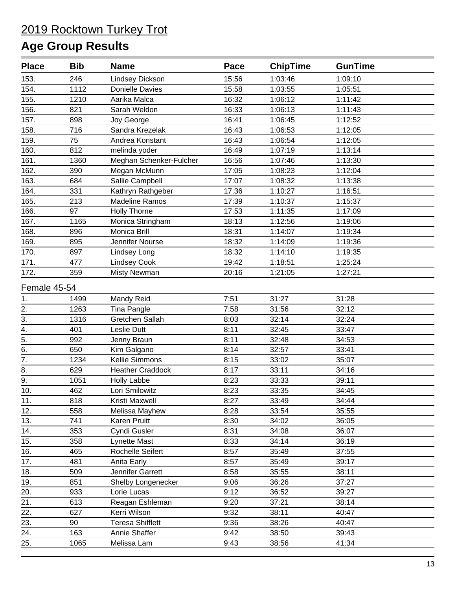| <b>Place</b>                   | <b>Bib</b> | <b>Name</b>             | Pace  | <b>ChipTime</b> | <b>GunTime</b> |  |
|--------------------------------|------------|-------------------------|-------|-----------------|----------------|--|
| 153.                           | 246        | Lindsey Dickson         | 15:56 | 1:03:46         | 1:09:10        |  |
| 154.                           | 1112       | Donielle Davies         | 15:58 | 1:03:55         | 1:05:51        |  |
| 155.                           | 1210       | Aarika Malca            | 16:32 | 1:06:12         | 1:11:42        |  |
| 156.                           | 821        | Sarah Weldon            | 16:33 | 1:06:13         | 1:11:43        |  |
| 157.                           | 898        | Joy George              | 16:41 | 1:06:45         | 1:12:52        |  |
| 158.                           | 716        | Sandra Krezelak         | 16:43 | 1:06:53         | 1:12:05        |  |
| 159.                           | 75         | Andrea Konstant         | 16:43 | 1:06:54         | 1:12:05        |  |
| 160.                           | 812        | melinda yoder           | 16:49 | 1:07:19         | 1:13:14        |  |
| 161.                           | 1360       | Meghan Schenker-Fulcher | 16:56 | 1:07:46         | 1:13:30        |  |
| 162.                           | 390        | Megan McMunn            | 17:05 | 1:08:23         | 1:12:04        |  |
| 163.                           | 684        | Sallie Campbell         | 17:07 | 1:08:32         | 1:13:38        |  |
| 164.                           | 331        | Kathryn Rathgeber       | 17:36 | 1:10:27         | 1:16:51        |  |
| 165.                           | 213        | <b>Madeline Ramos</b>   | 17:39 | 1:10:37         | 1:15:37        |  |
| 166.                           | 97         | <b>Holly Thorne</b>     | 17:53 | 1:11:35         | 1:17:09        |  |
| 167.                           | 1165       | Monica Stringham        | 18:13 | 1:12:56         | 1:19:06        |  |
| 168.                           | 896        | Monica Brill            | 18:31 | 1:14:07         | 1:19:34        |  |
| 169.                           | 895        | Jennifer Nourse         | 18:32 | 1:14:09         | 1:19:36        |  |
| 170.                           | 897        | Lindsey Long            | 18:32 | 1:14:10         | 1:19:35        |  |
| 171.                           | 477        | <b>Lindsey Cook</b>     | 19:42 | 1:18:51         | 1:25:24        |  |
| 172.                           | 359        | <b>Misty Newman</b>     | 20:16 | 1:21:05         | 1:27:21        |  |
| Female 45-54                   |            |                         |       |                 |                |  |
| 1.                             | 1499       | Mandy Reid              | 7:51  | 31:27           | 31:28          |  |
| 2.                             | 1263       | Tina Pangle             | 7:58  | 31:56           | 32:12          |  |
| $\frac{1}{3}$                  | 1316       | Gretchen Sallah         | 8:03  | 32:14           | 32:24          |  |
| $\frac{4}{5}$<br>$\frac{5}{6}$ | 401        | Leslie Dutt             | 8:11  | 32:45           | 33:47          |  |
|                                | 992        | Jenny Braun             | 8:11  | 32:48           | 34:53          |  |
|                                | 650        | Kim Galgano             | 8:14  | 32:57           | 33:41          |  |
| $\overline{7}$ .               | 1234       | Kellie Simmons          | 8:15  | 33:02           | 35:07          |  |
| 8.                             | 629        | <b>Heather Craddock</b> | 8:17  | 33:11           | 34:16          |  |
| 9.                             | 1051       | <b>Holly Labbe</b>      | 8:23  | 33:33           | 39:11          |  |
| 10.                            | 462        | Lori Smilowitz          | 8:23  | 33:35           | 34:45          |  |
| 11.                            | 818        | Kristi Maxwell          | 8:27  | 33:49           | 34:44          |  |
| 12.                            | 558        | Melissa Mayhew          | 8:28  | 33:54           | 35:55          |  |
| 13.                            | 741        | Karen Pruitt            | 8:30  | 34:02           | 36:05          |  |
| 14.                            | 353        | Cyndi Gusler            | 8:31  | 34:08           | 36:07          |  |
| 15.                            | 358        | Lynette Mast            | 8:33  | 34:14           | 36:19          |  |
| 16.                            | 465        | Rochelle Seifert        | 8:57  | 35:49           | 37:55          |  |
| 17.                            | 481        | Anita Early             | 8:57  | 35:49           | 39:17          |  |
| 18.                            | 509        | Jennifer Garrett        | 8:58  | 35:55           | 38:11          |  |
| 19.                            | 851        | Shelby Longenecker      | 9:06  | 36:26           | 37:27          |  |
| 20.                            | 933        | Lorie Lucas             | 9:12  | 36:52           | 39:27          |  |
| 21.                            | 613        | Reagan Eshleman         | 9:20  | 37:21           | 38:14          |  |
| 22.                            | 627        | Kerri Wilson            | 9:32  | 38:11           | 40:47          |  |
| 23.                            | 90         | <b>Teresa Shifflett</b> | 9:36  | 38:26           | 40:47          |  |
| 24.                            | 163        | Annie Shaffer           | 9:42  | 38:50           | 39:43          |  |
| 25.                            | 1065       | Melissa Lam             | 9:43  | 38:56           | 41:34          |  |
|                                |            |                         |       |                 |                |  |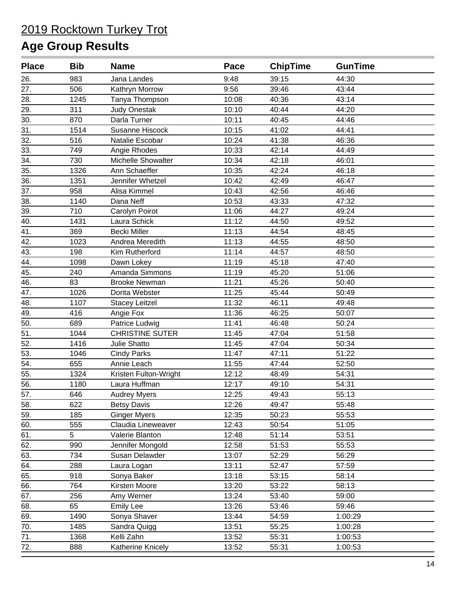| <b>Place</b>      | <b>Bib</b> | <b>Name</b>            | Pace  | <b>ChipTime</b> | <b>GunTime</b> |  |
|-------------------|------------|------------------------|-------|-----------------|----------------|--|
| 26.               | 983        | Jana Landes            | 9:48  | 39:15           | 44:30          |  |
| 27.               | 506        | Kathryn Morrow         | 9:56  | 39:46           | 43:44          |  |
| 28.               | 1245       | Tanya Thompson         | 10:08 | 40:36           | 43:14          |  |
| 29.               | 311        | <b>Judy Onestak</b>    | 10:10 | 40:44           | 44:20          |  |
| 30.               | 870        | Darla Turner           | 10:11 | 40:45           | 44:46          |  |
| 31.               | 1514       | Susanne Hiscock        | 10:15 | 41:02           | 44:41          |  |
| 32.               | 516        | Natalie Escobar        | 10:24 | 41:38           | 46:36          |  |
| 33.               | 749        | Angie Rhodes           | 10:33 | 42:14           | 44:49          |  |
| 34.               | 730        | Michelle Showalter     | 10:34 | 42:18           | 46:01          |  |
| 35.               | 1326       | Ann Schaeffer          | 10:35 | 42:24           | 46:18          |  |
| 36.               | 1351       | Jennifer Whetzel       | 10:42 | 42:49           | 46:47          |  |
| 37.               | 958        | Alisa Kimmel           | 10:43 | 42:56           | 46:46          |  |
| 38.               | 1140       | Dana Neff              | 10:53 | 43:33           | 47:32          |  |
| 39.               | 710        | Carolyn Poirot         | 11:06 | 44:27           | 49:24          |  |
| 40.               | 1431       | Laura Schick           | 11:12 | 44:50           | 49:52          |  |
| 41.               | 369        | <b>Becki Miller</b>    | 11:13 | 44:54           | 48:45          |  |
| 42.               | 1023       | Andrea Meredith        | 11:13 | 44:55           | 48:50          |  |
| 43.               | 198        | Kim Rutherford         | 11:14 | 44:57           | 48:50          |  |
| 44.               | 1098       | Dawn Lokey             | 11:19 | 45:18           | 47:40          |  |
| 45.               | 240        | Amanda Simmons         | 11:19 | 45:20           | 51:06          |  |
| 46.               | 83         | <b>Brooke Newman</b>   | 11:21 | 45:26           | 50:40          |  |
| 47.               | 1026       | Dorita Webster         | 11:25 | 45:44           | 50:49          |  |
| 48.               | 1107       | <b>Stacey Leitzel</b>  | 11:32 | 46:11           | 49:48          |  |
| 49.               | 416        | Angie Fox              | 11:36 | 46:25           | 50:07          |  |
| 50.               | 689        | Patrice Ludwig         | 11:41 | 46:48           | 50:24          |  |
| 51.               | 1044       | <b>CHRISTINE SUTER</b> | 11:45 | 47:04           | 51:58          |  |
| 52.               | 1416       | Julie Shatto           | 11:45 | 47:04           | 50:34          |  |
| 53.               | 1046       | <b>Cindy Parks</b>     | 11:47 | 47:11           | 51:22          |  |
| 54.               | 655        | Annie Leach            | 11:55 | 47:44           | 52:50          |  |
| $\overline{55}$ . | 1324       | Kristen Fulton-Wright  | 12:12 | 48:49           | 54:31          |  |
| 56.               | 1180       | Laura Huffman          | 12:17 | 49:10           | 54:31          |  |
| 57.               | 646        | <b>Audrey Myers</b>    | 12:25 | 49:43           | 55:13          |  |
| 58.               | 622        | <b>Betsy Davis</b>     | 12:26 | 49:47           | 55:48          |  |
| 59.               | 185        | <b>Ginger Myers</b>    | 12:35 | 50:23           | 55:53          |  |
| 60.               | 555        | Claudia Lineweaver     | 12:43 | 50:54           | 51:05          |  |
| 61.               | 5          | Valerie Blanton        | 12:48 | 51:14           | 53:51          |  |
| 62.               | 990        | Jennifer Mongold       | 12:58 | 51:53           | 55:53          |  |
| 63.               | 734        | Susan Delawder         | 13:07 | 52:29           | 56:29          |  |
| 64.               | 288        | Laura Logan            | 13:11 | 52:47           | 57:59          |  |
| 65.               | 918        | Sonya Baker            | 13:18 | 53:15           | 58:14          |  |
| 66.               | 764        | Kirsten Moore          | 13:20 | 53:22           | 58:13          |  |
| 67.               | 256        | Amy Werner             | 13:24 | 53:40           | 59:00          |  |
| 68.               | 65         | <b>Emily Lee</b>       | 13:26 | 53:46           | 59:46          |  |
| 69.               | 1490       | Sonya Shaver           | 13:44 | 54:59           | 1:00:29        |  |
| 70.               | 1485       | Sandra Quigg           | 13:51 | 55:25           | 1:00:28        |  |
| 71.               | 1368       | Kelli Zahn             | 13:52 | 55:31           | 1:00:53        |  |
| 72.               | 888        | Katherine Knicely      | 13:52 | 55:31           | 1:00:53        |  |
|                   |            |                        |       |                 |                |  |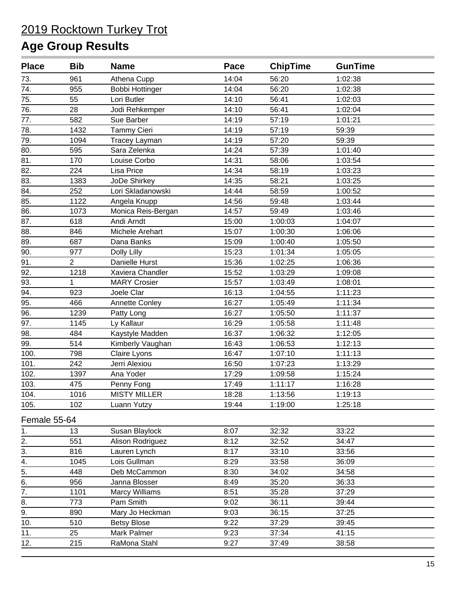| <b>Place</b>     | <b>Bib</b>     | <b>Name</b>            | Pace  | <b>ChipTime</b> | <b>GunTime</b> |  |
|------------------|----------------|------------------------|-------|-----------------|----------------|--|
| 73.              | 961            | Athena Cupp            | 14:04 | 56:20           | 1:02:38        |  |
| 74.              | 955            | <b>Bobbi Hottinger</b> | 14:04 | 56:20           | 1:02:38        |  |
| 75.              | 55             | Lori Butler            | 14:10 | 56:41           | 1:02:03        |  |
| 76.              | 28             | Jodi Rehkemper         | 14:10 | 56:41           | 1:02:04        |  |
| 77.              | 582            | Sue Barber             | 14:19 | 57:19           | 1:01:21        |  |
| 78.              | 1432           | <b>Tammy Cieri</b>     | 14:19 | 57:19           | 59:39          |  |
| 79.              | 1094           | <b>Tracey Layman</b>   | 14:19 | 57:20           | 59:39          |  |
| 80.              | 595            | Sara Zelenka           | 14:24 | 57:39           | 1:01:40        |  |
| $\overline{81}$  | 170            | Louise Corbo           | 14:31 | 58:06           | 1:03:54        |  |
| 82.              | 224            | Lisa Price             | 14:34 | 58:19           | 1:03:23        |  |
| 83.              | 1383           | JoDe Shirkey           | 14:35 | 58:21           | 1:03:25        |  |
| 84.              | 252            | Lori Skladanowski      | 14:44 | 58:59           | 1:00:52        |  |
| 85.              | 1122           | Angela Knupp           | 14:56 | 59:48           | 1:03:44        |  |
| 86.              | 1073           | Monica Reis-Bergan     | 14:57 | 59:49           | 1:03:46        |  |
| 87.              | 618            | Andi Arndt             | 15:00 | 1:00:03         | 1:04:07        |  |
| 88.              | 846            | Michele Arehart        | 15:07 | 1:00:30         | 1:06:06        |  |
| 89.              | 687            | Dana Banks             | 15:09 | 1:00:40         | 1:05:50        |  |
| 90.              | 977            | Dolly Lilly            | 15:23 | 1:01:34         | 1:05:05        |  |
| 91.              | $\overline{2}$ | Danielle Hurst         | 15:36 | 1:02:25         | 1:06:36        |  |
| 92.              | 1218           | Xaviera Chandler       | 15:52 | 1:03:29         | 1:09:08        |  |
| 93.              | 1              | <b>MARY Crosier</b>    | 15:57 | 1:03:49         | 1:08:01        |  |
| 94.              | 923            | Joele Clar             | 16:13 | 1:04:55         | 1:11:23        |  |
| 95.              | 466            | <b>Annette Conley</b>  | 16:27 | 1:05:49         | 1:11:34        |  |
| 96.              | 1239           | Patty Long             | 16:27 | 1:05:50         | 1:11:37        |  |
| 97.              | 1145           | Ly Kallaur             | 16:29 | 1:05:58         | 1:11:48        |  |
| 98.              | 484            | Kaystyle Madden        | 16:37 | 1:06:32         | 1:12:05        |  |
| 99.              | 514            | Kimberly Vaughan       | 16:43 | 1:06:53         | 1:12:13        |  |
| 100.             | 798            | Claire Lyons           | 16:47 | 1:07:10         | 1:11:13        |  |
| 101.             | 242            | Jerri Alexiou          | 16:50 | 1:07:23         | 1:13:29        |  |
| 102.             | 1397           | Ana Yoder              | 17:29 | 1:09:58         | 1:15:24        |  |
| 103.             | 475            | Penny Fong             | 17:49 | 1:11:17         | 1:16:28        |  |
| 104.             | 1016           | <b>MISTY MILLER</b>    | 18:28 | 1:13:56         | 1:19:13        |  |
| 105.             | 102            | Luann Yutzy            | 19:44 | 1:19:00         | 1:25:18        |  |
| Female 55-64     |                |                        |       |                 |                |  |
| 1.               | 13             | Susan Blaylock         | 8:07  | 32:32           | 33:22          |  |
| 2.               | 551            | Alison Rodriguez       | 8:12  | 32:52           | 34:47          |  |
| 3.               | 816            | Lauren Lynch           | 8:17  | 33:10           | 33:56          |  |
| 4.               | 1045           | Lois Gullman           | 8:29  | 33:58           | 36:09          |  |
| 5.               | 448            | Deb McCammon           | 8:30  | 34:02           | 34:58          |  |
| 6.               | 956            | Janna Blosser          | 8:49  | 35:20           | 36:33          |  |
| 7.               | 1101           | <b>Marcy Williams</b>  | 8:51  | 35:28           | 37:29          |  |
| 8.               | 773            | Pam Smith              | 9:02  | 36:11           | 39:44          |  |
| $\overline{9}$ . | 890            | Mary Jo Heckman        | 9:03  | 36:15           | 37:25          |  |
| 10.              | 510            | <b>Betsy Blose</b>     | 9:22  | 37:29           | 39:45          |  |
| 11.              | 25             | Mark Palmer            | 9:23  | 37:34           | 41:15          |  |
| 12.              | 215            | RaMona Stahl           | 9:27  | 37:49           | 38:58          |  |
|                  |                |                        |       |                 |                |  |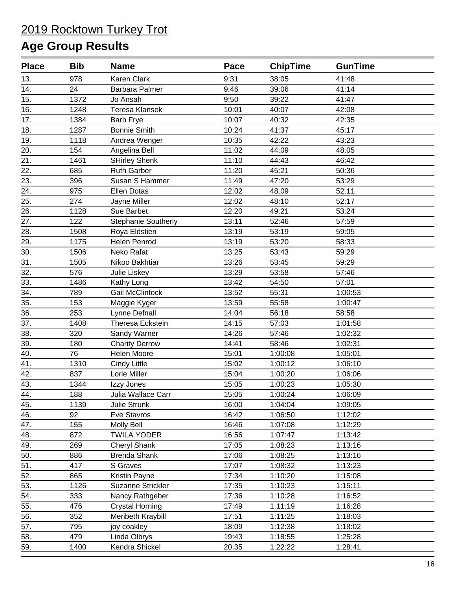| <b>Place</b> | <b>Bib</b> | <b>Name</b>                | Pace  | <b>ChipTime</b> | <b>GunTime</b> |  |
|--------------|------------|----------------------------|-------|-----------------|----------------|--|
| 13.          | 978        | Karen Clark                | 9:31  | 38:05           | 41:48          |  |
| 14.          | 24         | <b>Barbara Palmer</b>      | 9:46  | 39:06           | 41:14          |  |
| 15.          | 1372       | Jo Ansah                   | 9:50  | 39:22           | 41:47          |  |
| 16.          | 1248       | Teresa Klansek             | 10:01 | 40:07           | 42:08          |  |
| 17.          | 1384       | Barb Frye                  | 10:07 | 40:32           | 42:35          |  |
| 18.          | 1287       | <b>Bonnie Smith</b>        | 10:24 | 41:37           | 45:17          |  |
| 19.          | 1118       | Andrea Wenger              | 10:35 | 42:22           | 43:23          |  |
| 20.          | 154        | Angelina Bell              | 11:02 | 44:09           | 48:05          |  |
| 21.          | 1461       | <b>SHirley Shenk</b>       | 11:10 | 44:43           | 46:42          |  |
| 22.          | 685        | <b>Ruth Garber</b>         | 11:20 | 45:21           | 50:36          |  |
| 23.          | 396        | Susan S Hammer             | 11:49 | 47:20           | 53:29          |  |
| 24.          | 975        | <b>Ellen Dotas</b>         | 12:02 | 48:09           | 52:11          |  |
| 25.          | 274        | Jayne Miller               | 12:02 | 48:10           | 52:17          |  |
| 26.          | 1128       | Sue Barbet                 | 12:20 | 49:21           | 53:24          |  |
| 27.          | 122        | <b>Stephanie Southerly</b> | 13:11 | 52:46           | 57:59          |  |
| 28.          | 1508       | Roya Eldstien              | 13:19 | 53:19           | 59:05          |  |
| 29.          | 1175       | Helen Penrod               | 13:19 | 53:20           | 58:33          |  |
| 30.          | 1506       | Neko Rafat                 | 13:25 | 53:43           | 59:29          |  |
| 31.          | 1505       | Nikoo Bakhtiar             | 13:26 | 53:45           | 59:29          |  |
| 32.          | 576        | Julie Liskey               | 13:29 | 53:58           | 57:46          |  |
| 33.          | 1486       | Kathy Long                 | 13:42 | 54:50           | 57:01          |  |
| 34.          | 789        | <b>Gail McClintock</b>     | 13:52 | 55:31           | 1:00:53        |  |
| 35.          | 153        | Maggie Kyger               | 13:59 | 55:58           | 1:00:47        |  |
| 36.          | 253        | Lynne Defnall              | 14:04 | 56:18           | 58:58          |  |
| 37.          | 1408       | Theresa Eckstein           | 14:15 | 57:03           | 1:01:58        |  |
| 38.          | 320        | Sandy Warner               | 14:26 | 57:46           | 1:02:32        |  |
| 39.          | 180        | <b>Charity Derrow</b>      | 14:41 | 58:46           | 1:02:31        |  |
| 40.          | 76         | Helen Moore                | 15:01 | 1:00:08         | 1:05:01        |  |
| 41.          | 1310       | Cindy Little               | 15:02 | 1:00:12         | 1:06:10        |  |
| 42.          | 837        | Lorie Miller               | 15:04 | 1:00:20         | 1:06:06        |  |
| 43.          | 1344       | Izzy Jones                 | 15:05 | 1:00:23         | 1:05:30        |  |
| 44.          | 188        | Julia Wallace Carr         | 15:05 | 1:00:24         | 1:06:09        |  |
| 45.          | 1139       | Julie Strunk               | 16:00 | 1:04:04         | 1:09:05        |  |
| 46.          | 92         | Eve Stavros                | 16:42 | 1:06:50         | 1:12:02        |  |
| 47.          | 155        | <b>Molly Bell</b>          | 16:46 | 1:07:08         | 1:12:29        |  |
| 48.          | 872        | <b>TWILA YODER</b>         | 16:56 | 1:07:47         | 1:13:42        |  |
| 49.          | 269        | <b>Cheryl Shank</b>        | 17:05 | 1:08:23         | 1:13:16        |  |
| 50.          | 886        | Brenda Shank               | 17:06 | 1:08:25         | 1:13:16        |  |
| 51.          | 417        | S Graves                   | 17:07 | 1:08:32         | 1:13:23        |  |
| 52.          | 865        | Kristin Payne              | 17:34 | 1:10:20         | 1:15:08        |  |
| 53.          | 1126       | <b>Suzanne Strickler</b>   | 17:35 | 1:10:23         | 1:15:11        |  |
| 54.          | 333        | Nancy Rathgeber            | 17:36 | 1:10:28         | 1:16:52        |  |
| 55.          | 476        | <b>Crystal Horning</b>     | 17:49 | 1:11:19         | 1:16:28        |  |
| 56.          | 352        | Meribeth Kraybill          | 17:51 | 1:11:25         | 1:18:03        |  |
| 57.          | 795        | joy coakley                | 18:09 | 1:12:38         | 1:18:02        |  |
| 58.          | 479        | Linda Olbrys               | 19:43 | 1:18:55         | 1:25:28        |  |
| 59.          | 1400       | Kendra Shickel             | 20:35 | 1:22:22         | 1:28:41        |  |
|              |            |                            |       |                 |                |  |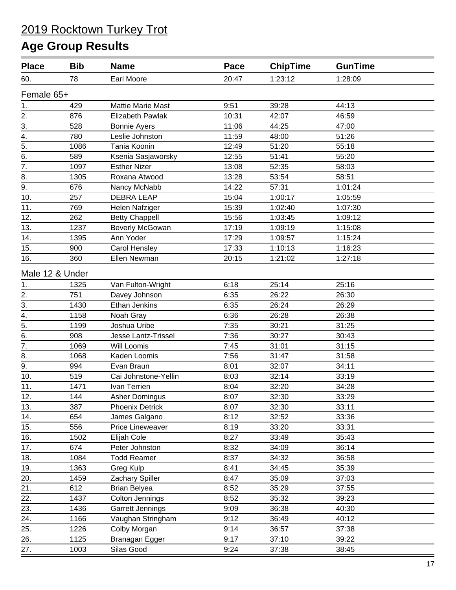| <b>Place</b>     | <b>Bib</b> | <b>Name</b>              | Pace  | <b>ChipTime</b> | <b>GunTime</b> |  |
|------------------|------------|--------------------------|-------|-----------------|----------------|--|
| 60.              | 78         | <b>Earl Moore</b>        | 20:47 | 1:23:12         | 1:28:09        |  |
| Female 65+       |            |                          |       |                 |                |  |
| 1.               | 429        | <b>Mattie Marie Mast</b> | 9:51  | 39:28           | 44:13          |  |
| 2.               | 876        | Elizabeth Pawlak         | 10:31 | 42:07           | 46:59          |  |
| 3.               | 528        | <b>Bonnie Ayers</b>      | 11:06 | 44:25           | 47:00          |  |
| 4.               | 780        | Leslie Johnston          | 11:59 | 48:00           | 51:26          |  |
| $\overline{5}$ . | 1086       | Tania Koonin             | 12:49 | 51:20           | 55:18          |  |
| 6.               | 589        | Ksenia Sasjaworsky       | 12:55 | 51:41           | 55:20          |  |
| $\overline{7}$ . | 1097       | <b>Esther Nizer</b>      | 13:08 | 52:35           | 58:03          |  |
| 8.               | 1305       | Roxana Atwood            | 13:28 | 53:54           | 58:51          |  |
| 9.               | 676        | Nancy McNabb             | 14:22 | 57:31           | 1:01:24        |  |
| 10.              | 257        | <b>DEBRA LEAP</b>        | 15:04 | 1:00:17         | 1:05:59        |  |
| 11.              | 769        | Helen Nafziger           | 15:39 | 1:02:40         | 1:07:30        |  |
| 12.              | 262        | <b>Betty Chappell</b>    | 15:56 | 1:03:45         | 1:09:12        |  |
| 13.              | 1237       | <b>Beverly McGowan</b>   | 17:19 | 1:09:19         | 1:15:08        |  |
| 14.              | 1395       | Ann Yoder                | 17:29 | 1:09:57         | 1:15:24        |  |
| 15.              | 900        | Carol Hensley            | 17:33 | 1:10:13         | 1:16:23        |  |
| 16.              | 360        | Ellen Newman             | 20:15 | 1:21:02         | 1:27:18        |  |
| Male 12 & Under  |            |                          |       |                 |                |  |
| 1.               | 1325       | Van Fulton-Wright        | 6:18  | 25:14           | 25:16          |  |
| 2.               | 751        | Davey Johnson            | 6:35  | 26:22           | 26:30          |  |
| $\overline{3}$ . | 1430       | Ethan Jenkins            | 6:35  | 26:24           | 26:29          |  |
| $\overline{4}$ . | 1158       | Noah Gray                | 6:36  | 26:28           | 26:38          |  |
| 5.               | 1199       | Joshua Uribe             | 7:35  | 30:21           | 31:25          |  |
| 6.               | 908        | Jesse Lantz-Trissel      | 7:36  | 30:27           | 30:43          |  |
| 7.               | 1069       | <b>Will Loomis</b>       | 7:45  | 31:01           | 31:15          |  |
| 8.               | 1068       | Kaden Loomis             | 7:56  | 31:47           | 31:58          |  |
| 9.               | 994        | Evan Braun               | 8:01  | 32:07           | 34:11          |  |
| 10.              | 519        | Cai Johnstone-Yellin     | 8:03  | 32:14           | 33:19          |  |
| 11.              | 1471       | Ivan Terrien             | 8:04  | 32:20           | 34:28          |  |
| 12.              | 144        | Asher Domingus           | 8:07  | 32:30           | 33:29          |  |
| 13.              | 387        | <b>Phoenix Detrick</b>   | 8:07  | 32:30           | 33:11          |  |
| 14.              | 654        | James Galgano            | 8:12  | 32:52           | 33:36          |  |
| 15.              | 556        | Price Lineweaver         | 8:19  | 33:20           | 33:31          |  |
| 16.              | 1502       | Elijah Cole              | 8:27  | 33:49           | 35:43          |  |
| 17.              | 674        | Peter Johnston           | 8:32  | 34:09           | 36:14          |  |
| 18.              | 1084       | <b>Todd Reamer</b>       | 8:37  | 34:32           | 36:58          |  |
| 19.              | 1363       | Greg Kulp                | 8:41  | 34:45           | 35:39          |  |
| 20.              | 1459       | Zachary Spiller          | 8:47  | 35:09           | 37:03          |  |
| 21.              | 612        | <b>Brian Belyea</b>      | 8:52  | 35:29           | 37:55          |  |
| 22.              | 1437       | Colton Jennings          | 8:52  | 35:32           | 39:23          |  |
| 23.              | 1436       | Garrett Jennings         | 9:09  | 36:38           | 40:30          |  |
| 24.              | 1166       | Vaughan Stringham        | 9:12  | 36:49           | 40:12          |  |
| 25.              | 1226       | Colby Morgan             | 9:14  | 36:57           | 37:38          |  |
| 26.              | 1125       | Branagan Egger           | 9:17  | 37:10           | 39:22          |  |
| 27.              | 1003       | Silas Good               | 9:24  | 37:38           | 38:45          |  |
|                  |            |                          |       |                 |                |  |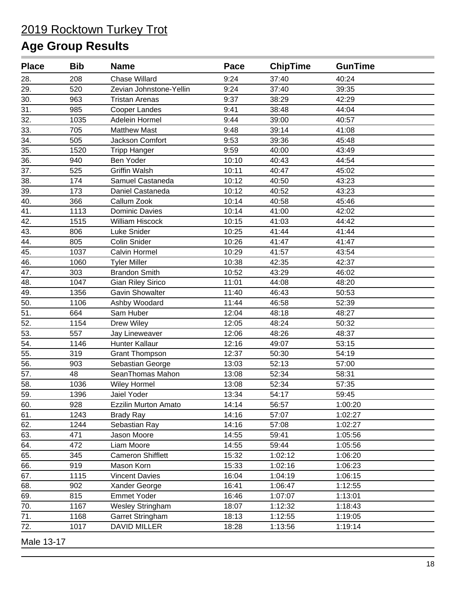#### **Age Group Results**

| <b>Place</b> | <b>Bib</b> | <b>Name</b>                 | Pace  | <b>ChipTime</b> | <b>GunTime</b> |  |
|--------------|------------|-----------------------------|-------|-----------------|----------------|--|
| 28.          | 208        | <b>Chase Willard</b>        | 9:24  | 37:40           | 40:24          |  |
| 29.          | 520        | Zevian Johnstone-Yellin     | 9:24  | 37:40           | 39:35          |  |
| 30.          | 963        | <b>Tristan Arenas</b>       | 9:37  | 38:29           | 42:29          |  |
| 31.          | 985        | Cooper Landes               | 9:41  | 38:48           | 44:04          |  |
| 32.          | 1035       | Adelein Hormel              | 9:44  | 39:00           | 40:57          |  |
| 33.          | 705        | <b>Matthew Mast</b>         | 9:48  | 39:14           | 41:08          |  |
| 34.          | 505        | Jackson Comfort             | 9:53  | 39:36           | 45:48          |  |
| 35.          | 1520       | <b>Tripp Hanger</b>         | 9:59  | 40:00           | 43:49          |  |
| 36.          | 940        | Ben Yoder                   | 10:10 | 40:43           | 44:54          |  |
| 37.          | 525        | <b>Griffin Walsh</b>        | 10:11 | 40:47           | 45:02          |  |
| 38.          | 174        | Samuel Castaneda            | 10:12 | 40:50           | 43:23          |  |
| 39.          | 173        | Daniel Castaneda            | 10:12 | 40:52           | 43:23          |  |
| 40.          | 366        | Callum Zook                 | 10:14 | 40:58           | 45:46          |  |
| 41.          | 1113       | <b>Dominic Davies</b>       | 10:14 | 41:00           | 42:02          |  |
| 42.          | 1515       | <b>William Hiscock</b>      | 10:15 | 41:03           | 44:42          |  |
| 43.          | 806        | Luke Snider                 | 10:25 | 41:44           | 41:44          |  |
| 44.          | 805        | Colin Snider                | 10:26 | 41:47           | 41:47          |  |
| 45.          | 1037       | Calvin Hormel               | 10:29 | 41:57           | 43:54          |  |
| 46.          | 1060       | <b>Tyler Miller</b>         | 10:38 | 42:35           | 42:37          |  |
| 47.          | 303        | <b>Brandon Smith</b>        | 10:52 | 43:29           | 46:02          |  |
| 48.          | 1047       | <b>Gian Riley Sirico</b>    | 11:01 | 44:08           | 48:20          |  |
| 49.          | 1356       | <b>Gavin Showalter</b>      | 11:40 | 46:43           | 50:53          |  |
| 50.          | 1106       | Ashby Woodard               | 11:44 | 46:58           | 52:39          |  |
| 51.          | 664        | Sam Huber                   | 12:04 | 48:18           | 48:27          |  |
| 52.          | 1154       | <b>Drew Wiley</b>           | 12:05 | 48:24           | 50:32          |  |
| 53.          | 557        | Jay Lineweaver              | 12:06 | 48:26           | 48:37          |  |
| 54.          | 1146       | Hunter Kallaur              | 12:16 | 49:07           | 53:15          |  |
| 55.          | 319        | <b>Grant Thompson</b>       | 12:37 | 50:30           | 54:19          |  |
| 56.          | 903        | Sebastian George            | 13:03 | 52:13           | 57:00          |  |
| 57.          | 48         | SeanThomas Mahon            | 13:08 | 52:34           | 58:31          |  |
| 58.          | 1036       | <b>Wiley Hormel</b>         | 13:08 | 52:34           | 57:35          |  |
| 59.          | 1396       | Jaiel Yoder                 | 13:34 | 54:17           | 59:45          |  |
| 60.          | 928        | <b>Ezzilin Murton Amato</b> | 14:14 | 56:57           | 1:00:20        |  |
| 61.          | 1243       | <b>Brady Ray</b>            | 14:16 | 57:07           | 1:02:27        |  |
| 62.          | 1244       | Sebastian Ray               | 14:16 | 57:08           | 1:02:27        |  |
| 63.          | 471        | Jason Moore                 | 14:55 | 59:41           | 1:05:56        |  |
| 64.          | 472        | Liam Moore                  | 14:55 | 59:44           | 1:05:56        |  |
| 65.          | 345        | <b>Cameron Shifflett</b>    | 15:32 | 1:02:12         | 1:06:20        |  |
| 66.          | 919        | Mason Korn                  | 15:33 | 1:02:16         | 1:06:23        |  |
| 67.          | 1115       | <b>Vincent Davies</b>       | 16:04 | 1:04:19         | 1:06:15        |  |
| 68.          | 902        | Xander George               | 16:41 | 1:06:47         | 1:12:55        |  |
| 69.          | 815        | <b>Emmet Yoder</b>          | 16:46 | 1:07:07         | 1:13:01        |  |
| 70.          | 1167       | <b>Wesley Stringham</b>     | 18:07 | 1:12:32         | 1:18:43        |  |
| 71.          | 1168       | Garret Stringham            | 18:13 | 1:12:55         | 1:19:05        |  |
| 72.          | 1017       | <b>DAVID MILLER</b>         | 18:28 | 1:13:56         | 1:19:14        |  |
|              |            |                             |       |                 |                |  |

Male 13-17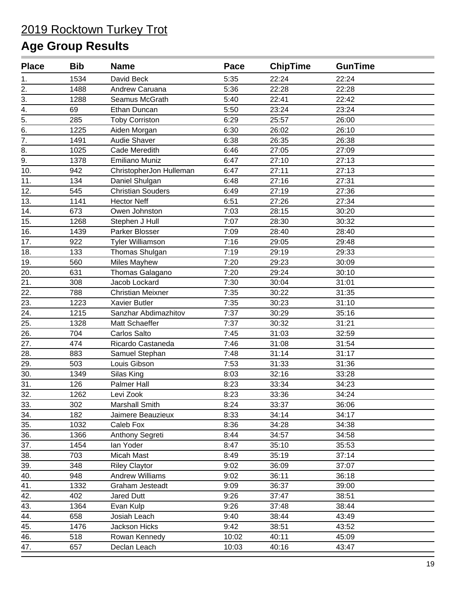| <b>Place</b>     | <b>Bib</b> | <b>Name</b>              | Pace  | <b>ChipTime</b> | <b>GunTime</b> |  |
|------------------|------------|--------------------------|-------|-----------------|----------------|--|
| 1.               | 1534       | David Beck               | 5:35  | 22:24           | 22:24          |  |
| 2.               | 1488       | Andrew Caruana           | 5:36  | 22:28           | 22:28          |  |
| 3.               | 1288       | Seamus McGrath           | 5:40  | 22:41           | 22:42          |  |
| 4.               | 69         | Ethan Duncan             | 5:50  | 23:24           | 23:24          |  |
| $\overline{5}$ . | 285        | <b>Toby Corriston</b>    | 6:29  | 25:57           | 26:00          |  |
| 6.               | 1225       | Aiden Morgan             | 6:30  | 26:02           | 26:10          |  |
| 7.               | 1491       | Audie Shaver             | 6:38  | 26:35           | 26:38          |  |
| 8.               | 1025       | Cade Meredith            | 6:46  | 27:05           | 27:09          |  |
| 9.               | 1378       | <b>Emiliano Muniz</b>    | 6:47  | 27:10           | 27:13          |  |
| 10.              | 942        | ChristopherJon Hulleman  | 6:47  | 27:11           | 27:13          |  |
| 11.              | 134        | Daniel Shulgan           | 6:48  | 27:16           | 27:31          |  |
| 12.              | 545        | <b>Christian Souders</b> | 6:49  | 27:19           | 27:36          |  |
| 13.              | 1141       | <b>Hector Neff</b>       | 6:51  | 27:26           | 27:34          |  |
| 14.              | 673        | Owen Johnston            | 7:03  | 28:15           | 30:20          |  |
| 15.              | 1268       | Stephen J Hull           | 7:07  | 28:30           | 30:32          |  |
| 16.              | 1439       | Parker Blosser           | 7:09  | 28:40           | 28:40          |  |
| 17.              | 922        | <b>Tyler Williamson</b>  | 7:16  | 29:05           | 29:48          |  |
| 18.              | 133        | Thomas Shulgan           | 7:19  | 29:19           | 29:33          |  |
| 19.              | 560        | Miles Mayhew             | 7:20  | 29:23           | 30:09          |  |
| 20.              | 631        | Thomas Galagano          | 7:20  | 29:24           | 30:10          |  |
| 21.              | 308        | Jacob Lockard            | 7:30  | 30:04           | 31:01          |  |
| 22.              | 788        | <b>Christian Meixner</b> | 7:35  | 30:22           | 31:35          |  |
| 23.              | 1223       | <b>Xavier Butler</b>     | 7:35  | 30:23           | 31:10          |  |
| 24.              | 1215       | Sanzhar Abdimazhitov     | 7:37  | 30:29           | 35:16          |  |
| 25.              | 1328       | Matt Schaeffer           | 7:37  | 30:32           | 31:21          |  |
| 26.              | 704        | Carlos Salto             | 7:45  | 31:03           | 32:59          |  |
| 27.              | 474        | Ricardo Castaneda        | 7:46  | 31:08           | 31:54          |  |
| 28.              | 883        | Samuel Stephan           | 7:48  | 31:14           | 31:17          |  |
| 29.              | 503        | Louis Gibson             | 7:53  | 31:33           | 31:36          |  |
| 30.              | 1349       | Silas King               | 8:03  | 32:16           | 33:28          |  |
| 31.              | 126        | Palmer Hall              | 8:23  | 33:34           | 34:23          |  |
| 32.              | 1262       | Levi Zook                | 8:23  | 33:36           | 34:24          |  |
| 33.              | 302        | Marshall Smith           | 8:24  | 33:37           | 36:06          |  |
| 34.              | 182        | Jaimere Beauzieux        | 8:33  | 34:14           | 34:17          |  |
| 35.              | 1032       | Caleb Fox                | 8:36  | 34:28           | 34:38          |  |
| 36.              | 1366       | Anthony Segreti          | 8:44  | 34:57           | 34:58          |  |
| 37.              | 1454       | lan Yoder                | 8:47  | 35:10           | 35:53          |  |
| 38.              | 703        | Micah Mast               | 8:49  | 35:19           | 37:14          |  |
| 39.              | 348        | <b>Riley Claytor</b>     | 9:02  | 36:09           | 37:07          |  |
| 40.              | 948        | <b>Andrew Williams</b>   | 9:02  | 36:11           | 36:18          |  |
| 41.              | 1332       | Graham Jesteadt          | 9:09  | 36:37           | 39:00          |  |
| 42.              | 402        | Jared Dutt               | 9:26  | 37:47           | 38:51          |  |
| 43.              | 1364       | Evan Kulp                | 9:26  | 37:48           | 38:44          |  |
| 44.              | 658        | Josiah Leach             | 9:40  | 38:44           | 43:49          |  |
| 45.              | 1476       | Jackson Hicks            | 9:42  | 38:51           | 43:52          |  |
| 46.              | 518        | Rowan Kennedy            | 10:02 | 40:11           | 45:09          |  |
| 47.              | 657        | Declan Leach             | 10:03 | 40:16           | 43:47          |  |
|                  |            |                          |       |                 |                |  |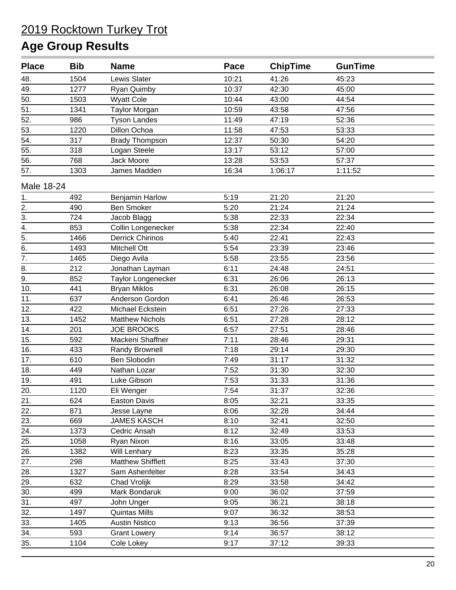| <b>Place</b>          | <b>Bib</b> | <b>Name</b>              | Pace  | <b>ChipTime</b> | <b>GunTime</b> |  |
|-----------------------|------------|--------------------------|-------|-----------------|----------------|--|
| 48.                   | 1504       | Lewis Slater             | 10:21 | 41:26           | 45:23          |  |
| 49.                   | 1277       | Ryan Quimby              | 10:37 | 42:30           | 45:00          |  |
| 50.                   | 1503       | <b>Wyatt Cole</b>        | 10:44 | 43:00           | 44:54          |  |
| 51.                   | 1341       | <b>Taylor Morgan</b>     | 10:59 | 43:58           | 47:56          |  |
| 52.                   | 986        | <b>Tyson Landes</b>      | 11:49 | 47:19           | 52:36          |  |
| 53.                   | 1220       | Dillon Ochoa             | 11:58 | 47:53           | 53:33          |  |
| 54.                   | 317        | <b>Brady Thompson</b>    | 12:37 | 50:30           | 54:20          |  |
| 55.                   | 318        | Logan Steele             | 13:17 | 53:12           | 57:00          |  |
| 56.                   | 768        | Jack Moore               | 13:28 | 53:53           | 57:37          |  |
| 57.                   | 1303       | James Madden             | 16:34 | 1:06:17         | 1:11:52        |  |
| Male 18-24            |            |                          |       |                 |                |  |
| 1.                    | 492        | Benjamin Harlow          | 5:19  | 21:20           | 21:20          |  |
|                       | 490        | <b>Ben Smoker</b>        | 5:20  | 21:24           | 21:24          |  |
|                       | 724        | Jacob Blagg              | 5:38  | 22:33           | 22:34          |  |
| $\frac{2}{3}$ .<br>4. | 853        | Collin Longenecker       | 5:38  | 22:34           | 22:40          |  |
| $\overline{5}$ .      | 1466       | <b>Derrick Chirinos</b>  | 5:40  | 22:41           | 22:43          |  |
| $\overline{6}$ .      | 1493       | Mitchell Ott             | 5:54  | 23:39           | 23:46          |  |
| $\overline{7}$ .      | 1465       | Diego Avila              | 5:58  | 23:55           | 23:56          |  |
| 8.                    | 212        | Jonathan Layman          | 6:11  | 24:48           | 24:51          |  |
| 9.                    | 852        | Taylor Longenecker       | 6:31  | 26:06           | 26:13          |  |
| 10.                   | 441        | <b>Bryan Miklos</b>      | 6:31  | 26:08           | 26:15          |  |
| 11.                   | 637        | Anderson Gordon          | 6:41  | 26:46           | 26:53          |  |
| 12.                   | 422        | Michael Eckstein         | 6:51  | 27:26           | 27:33          |  |
| 13.                   | 1452       | <b>Matthew Nichols</b>   | 6:51  | 27:28           | 28:12          |  |
| 14.                   | 201        | <b>JOE BROOKS</b>        | 6:57  | 27:51           | 28:46          |  |
| 15.                   | 592        | Mackeni Shaffner         | 7:11  | 28:46           | 29:31          |  |
| 16.                   | 433        | Randy Brownell           | 7:18  | 29:14           | 29:30          |  |
| 17.                   | 610        | Ben Slobodin             | 7:49  | 31:17           | 31:32          |  |
| 18.                   | 449        | Nathan Lozar             | 7:52  | 31:30           | 32:30          |  |
| 19.                   | 491        | Luke Gibson              | 7:53  | 31:33           | 31:36          |  |
| 20.                   | 1120       | Eli Wenger               | 7:54  | 31:37           | 32:36          |  |
| 21.                   | 624        | <b>Easton Davis</b>      | 8:05  | 32:21           | 33:35          |  |
| 22.                   | 871        | Jesse Layne              | 8:06  | 32:28           | 34:44          |  |
| 23.                   | 669        | <b>JAMES KASCH</b>       | 8:10  | 32:41           | 32:50          |  |
| 24.                   | 1373       | Cedric Ansah             | 8:12  | 32:49           | 33:53          |  |
| 25.                   | 1058       | Ryan Nixon               | 8:16  | 33:05           | 33:48          |  |
| 26.                   | 1382       | Will Lenhary             | 8:23  | 33:35           | 35:28          |  |
| 27.                   | 298        | <b>Matthew Shifflett</b> | 8:25  | 33:43           | 37:30          |  |
| 28.                   | 1327       | Sam Ashenfelter          | 8:28  | 33:54           | 34:43          |  |
| 29.                   | 632        | Chad Vrolijk             | 8:29  | 33:58           | 34:42          |  |
| 30.                   | 499        | Mark Bondaruk            | 9:00  | 36:02           | 37:59          |  |
| 31.                   | 497        | John Unger               | 9:05  | 36:21           | 38:18          |  |
| 32.                   | 1497       | <b>Quintas Mills</b>     | 9:07  | 36:32           | 38:53          |  |
| 33.                   | 1405       | <b>Austin Nistico</b>    | 9:13  | 36:56           | 37:39          |  |
| 34.                   | 593        | <b>Grant Lowery</b>      | 9:14  | 36:57           | 38:12          |  |
| 35.                   | 1104       | Cole Lokey               | 9:17  | 37:12           | 39:33          |  |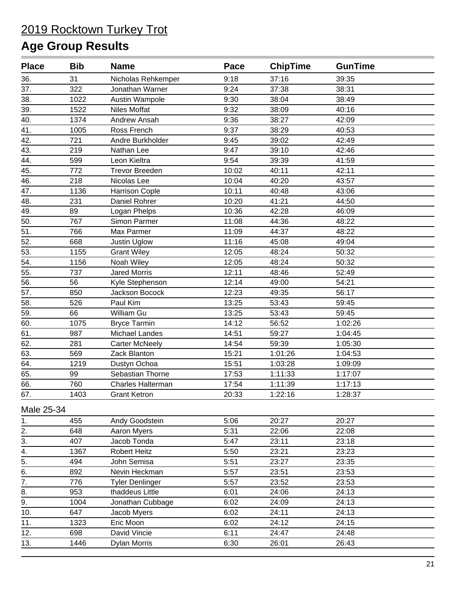| <b>Place</b>      | <b>Bib</b> | <b>Name</b>              | Pace  | <b>ChipTime</b> | <b>GunTime</b> |  |
|-------------------|------------|--------------------------|-------|-----------------|----------------|--|
| 36.               | 31         | Nicholas Rehkemper       | 9:18  | 37:16           | 39:35          |  |
| 37.               | 322        | Jonathan Warner          | 9:24  | 37:38           | 38:31          |  |
| 38.               | 1022       | Austin Wampole           | 9:30  | 38:04           | 38:49          |  |
| 39.               | 1522       | <b>Niles Moffat</b>      | 9:32  | 38:09           | 40:16          |  |
| 40.               | 1374       | Andrew Ansah             | 9:36  | 38:27           | 42:09          |  |
| 41.               | 1005       | Ross French              | 9:37  | 38:29           | 40:53          |  |
| 42.               | 721        | Andre Burkholder         | 9:45  | 39:02           | 42:49          |  |
| 43.               | 219        | Nathan Lee               | 9:47  | 39:10           | 42:46          |  |
| 44.               | 599        | Leon Kieltra             | 9:54  | 39:39           | 41:59          |  |
| 45.               | 772        | <b>Trevor Breeden</b>    | 10:02 | 40:11           | 42:11          |  |
| 46.               | 218        | Nicolas Lee              | 10:04 | 40:20           | 43:57          |  |
| 47.               | 1136       | Harrison Cople           | 10:11 | 40:48           | 43:06          |  |
| 48.               | 231        | Daniel Rohrer            | 10:20 | 41:21           | 44:50          |  |
| 49.               | 89         | Logan Phelps             | 10:36 | 42:28           | 46:09          |  |
| 50.               | 767        | Simon Parmer             | 11:08 | 44:36           | 48:22          |  |
| 51.               | 766        | Max Parmer               | 11:09 | 44:37           | 48:22          |  |
| $\overline{52}$ . | 668        | Justin Uglow             | 11:16 | 45:08           | 49:04          |  |
| 53.               | 1155       | <b>Grant Wiley</b>       | 12:05 | 48:24           | 50:32          |  |
| 54.               | 1156       | Noah Wiley               | 12:05 | 48:24           | 50:32          |  |
| 55.               | 737        | <b>Jared Morris</b>      | 12:11 | 48:46           | 52:49          |  |
| 56.               | 56         | Kyle Stephenson          | 12:14 | 49:00           | 54:21          |  |
| 57.               | 850        | Jackson Bocock           | 12:23 | 49:35           | 56:17          |  |
| 58.               | 526        | Paul Kim                 | 13:25 | 53:43           | 59:45          |  |
| 59.               | 66         | William Gu               | 13:25 | 53:43           | 59:45          |  |
| 60.               | 1075       | <b>Bryce Tarmin</b>      | 14:12 | 56:52           | 1:02:26        |  |
| 61.               | 987        | Michael Landes           | 14:51 | 59:27           | 1:04:45        |  |
| 62.               | 281        | <b>Carter McNeely</b>    | 14:54 | 59:39           | 1:05:30        |  |
| 63.               | 569        | Zack Blanton             | 15:21 | 1:01:26         | 1:04:53        |  |
| 64.               | 1219       | Dustyn Ochoa             | 15:51 | 1:03:28         | 1:09:09        |  |
| 65.               | 99         | Sebastian Thorne         | 17:53 | 1:11:33         | 1:17:07        |  |
| 66.               | 760        | <b>Charles Halterman</b> | 17:54 | 1:11:39         | 1:17:13        |  |
| 67.               | 1403       | <b>Grant Ketron</b>      | 20:33 | 1:22:16         | 1:28:37        |  |
| Male 25-34        |            |                          |       |                 |                |  |
| 1.                | 455        | Andy Goodstein           | 5:06  | 20:27           | 20:27          |  |
| 2.                | 648        | Aaron Myers              | 5:31  | 22:06           | 22:08          |  |
| 3.                | 407        | Jacob Tonda              | 5:47  | 23:11           | 23:18          |  |
| 4.                | 1367       | <b>Robert Heitz</b>      | 5:50  | 23:21           | 23:23          |  |
| $\overline{5}$ .  | 494        | John Semisa              | 5:51  | 23:27           | 23:35          |  |
| 6.                | 892        | Nevin Heckman            | 5:57  | 23:51           | 23:53          |  |
| $\overline{7}$ .  | 776        | <b>Tyler Denlinger</b>   | 5:57  | 23:52           | 23:53          |  |
| $\overline{8}$ .  | 953        | thaddeus Little          | 6:01  | 24:06           | 24:13          |  |
| 9.                | 1004       | Jonathan Cubbage         | 6:02  | 24:09           | 24:13          |  |
| 10.               | 647        | Jacob Myers              | 6:02  | 24:11           | 24:13          |  |
| 11.               | 1323       | Eric Moon                | 6:02  | 24:12           | 24:15          |  |
| 12.               | 698        | David Vincie             | 6:11  | 24:47           | 24:48          |  |
| 13.               | 1446       | <b>Dylan Morris</b>      | 6:30  | 26:01           | 26:43          |  |
|                   |            |                          |       |                 |                |  |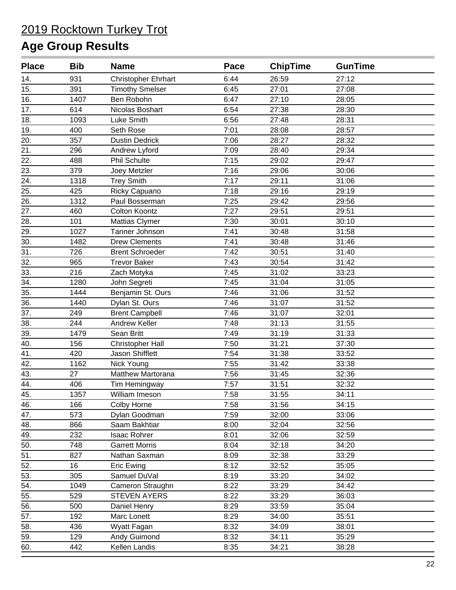| <b>Place</b> | <b>Bib</b> | <b>Name</b>                | Pace | <b>ChipTime</b> | <b>GunTime</b> |  |
|--------------|------------|----------------------------|------|-----------------|----------------|--|
| 14.          | 931        | <b>Christopher Ehrhart</b> | 6:44 | 26:59           | 27:12          |  |
| 15.          | 391        | <b>Timothy Smelser</b>     | 6:45 | 27:01           | 27:08          |  |
| 16.          | 1407       | Ben Robohn                 | 6:47 | 27:10           | 28:05          |  |
| 17.          | 614        | Nicolas Boshart            | 6:54 | 27:38           | 28:30          |  |
| 18.          | 1093       | Luke Smith                 | 6:56 | 27:48           | 28:31          |  |
| 19.          | 400        | Seth Rose                  | 7:01 | 28:08           | 28:57          |  |
| 20.          | 357        | <b>Dustin Dedrick</b>      | 7:06 | 28:27           | 28:32          |  |
| 21.          | 296        | Andrew Lyford              | 7:09 | 28:40           | 29:34          |  |
| 22.          | 488        | Phil Schulte               | 7:15 | 29:02           | 29:47          |  |
| 23.          | 379        | Joey Metzler               | 7:16 | 29:06           | 30:06          |  |
| 24.          | 1318       | <b>Trey Smith</b>          | 7:17 | 29:11           | 31:06          |  |
| 25.          | 425        | Ricky Capuano              | 7:18 | 29:16           | 29:19          |  |
| 26.          | 1312       | Paul Bosserman             | 7:25 | 29:42           | 29:56          |  |
| 27.          | 460        | Colton Koontz              | 7:27 | 29:51           | 29:51          |  |
| 28.          | 101        | <b>Mattias Clymer</b>      | 7:30 | 30:01           | 30:10          |  |
| 29.          | 1027       | Tanner Johnson             | 7:41 | 30:48           | 31:58          |  |
| 30.          | 1482       | <b>Drew Clements</b>       | 7:41 | 30:48           | 31:46          |  |
| 31.          | 726        | <b>Brent Schroeder</b>     | 7:42 | 30:51           | 31:40          |  |
| 32.          | 965        | <b>Trevor Baker</b>        | 7:43 | 30:54           | 31:42          |  |
| 33.          | 216        | Zach Motyka                | 7:45 | 31:02           | 33:23          |  |
| 34.          | 1280       | John Segreti               | 7:45 | 31:04           | 31:05          |  |
| 35.          | 1444       | Benjamin St. Ours          | 7:46 | 31:06           | 31:52          |  |
| 36.          | 1440       | Dylan St. Ours             | 7:46 | 31:07           | 31:52          |  |
| 37.          | 249        | <b>Brent Campbell</b>      | 7:46 | 31:07           | 32:01          |  |
| 38.          | 244        | Andrew Keller              | 7:48 | 31:13           | 31:55          |  |
| 39.          | 1479       | Sean Britt                 | 7:49 | 31:19           | 31:33          |  |
| 40.          | 156        | <b>Christopher Hall</b>    | 7:50 | 31:21           | 37:30          |  |
| 41.          | 420        | Jason Shifflett            | 7:54 | 31:38           | 33:52          |  |
| 42.          | 1162       | Nick Young                 | 7:55 | 31:42           | 33:38          |  |
| 43.          | 27         | Matthew Martorana          | 7:56 | 31:45           | 32:36          |  |
| 44.          | 406        | Tim Hemingway              | 7:57 | 31:51           | 32:32          |  |
| 45.          | 1357       | William Imeson             | 7:58 | 31:55           | 34:11          |  |
| 46.          | 166        | Colby Horne                | 7:58 | 31:56           | 34:15          |  |
| 47.          | 573        | Dylan Goodman              | 7:59 | 32:00           | 33:06          |  |
| 48.          | 866        | Saam Bakhtiar              | 8:00 | 32:04           | 32:56          |  |
| 49.          | 232        | <b>Isaac Rohrer</b>        | 8:01 | 32:06           | 32:59          |  |
| 50.          | 748        | <b>Garrett Morris</b>      | 8:04 | 32:18           | 34:20          |  |
| 51.          | 827        | Nathan Saxman              | 8:09 | 32:38           | 33:29          |  |
| 52.          | 16         | Eric Ewing                 | 8:12 | 32:52           | 35:05          |  |
| 53.          | 305        | Samuel DuVal               | 8:19 | 33:20           | 34:02          |  |
| 54.          | 1049       | Cameron Straughn           | 8:22 | 33:29           | 34:42          |  |
| 55.          | 529        | <b>STEVEN AYERS</b>        | 8:22 | 33:29           | 36:03          |  |
| 56.          | 500        | Daniel Henry               | 8:29 | 33:59           | 35:04          |  |
| 57.          | 192        | Marc Lonett                | 8:29 | 34:00           | 35:51          |  |
| 58.          | 436        | Wyatt Fagan                | 8:32 | 34:09           | 38:01          |  |
| 59.          | 129        | Andy Guimond               | 8:32 | 34:11           | 35:29          |  |
| 60.          | 442        | Kellen Landis              | 8:35 | 34:21           | 38:28          |  |
|              |            |                            |      |                 |                |  |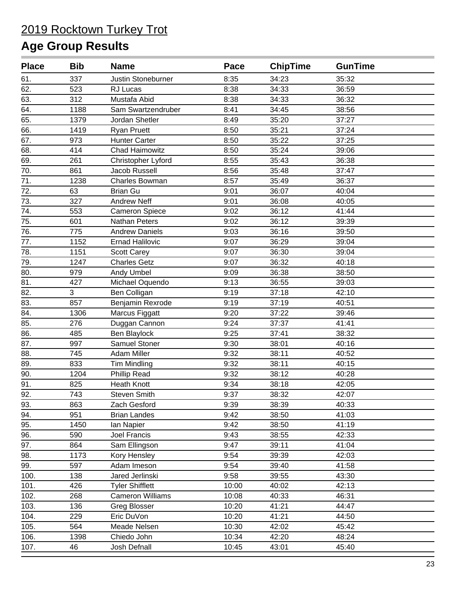| <b>Place</b> | <b>Bib</b> | <b>Name</b>             | Pace  | <b>ChipTime</b> | <b>GunTime</b> |  |
|--------------|------------|-------------------------|-------|-----------------|----------------|--|
| 61.          | 337        | Justin Stoneburner      | 8:35  | 34:23           | 35:32          |  |
| 62.          | 523        | RJ Lucas                | 8:38  | 34:33           | 36:59          |  |
| 63.          | 312        | Mustafa Abid            | 8:38  | 34:33           | 36:32          |  |
| 64.          | 1188       | Sam Swartzendruber      | 8:41  | 34:45           | 38:56          |  |
| 65.          | 1379       | Jordan Shetler          | 8:49  | 35:20           | 37:27          |  |
| 66.          | 1419       | <b>Ryan Pruett</b>      | 8:50  | 35:21           | 37:24          |  |
| 67.          | 973        | <b>Hunter Carter</b>    | 8:50  | 35:22           | 37:25          |  |
| 68.          | 414        | <b>Chad Haimowitz</b>   | 8:50  | 35:24           | 39:06          |  |
| 69.          | 261        | Christopher Lyford      | 8:55  | 35:43           | 36:38          |  |
| 70.          | 861        | Jacob Russell           | 8:56  | 35:48           | 37:47          |  |
| 71.          | 1238       | Charles Bowman          | 8:57  | 35:49           | 36:37          |  |
| 72.          | 63         | <b>Brian Gu</b>         | 9:01  | 36:07           | 40:04          |  |
| 73.          | 327        | <b>Andrew Neff</b>      | 9:01  | 36:08           | 40:05          |  |
| 74.          | 553        | <b>Cameron Spiece</b>   | 9:02  | 36:12           | 41:44          |  |
| 75.          | 601        | <b>Nathan Peters</b>    | 9:02  | 36:12           | 39:39          |  |
| 76.          | 775        | <b>Andrew Daniels</b>   | 9:03  | 36:16           | 39:50          |  |
| 77.          | 1152       | <b>Ernad Halilovic</b>  | 9:07  | 36:29           | 39:04          |  |
| 78.          | 1151       | Scott Carey             | 9:07  | 36:30           | 39:04          |  |
| 79.          | 1247       | <b>Charles Getz</b>     | 9:07  | 36:32           | 40:18          |  |
| 80.          | 979        | Andy Umbel              | 9:09  | 36:38           | 38:50          |  |
| 81.          | 427        | Michael Oquendo         | 9:13  | 36:55           | 39:03          |  |
| 82.          | 3          | Ben Colligan            | 9:19  | 37:18           | 42:10          |  |
| 83.          | 857        | Benjamin Rexrode        | 9:19  | 37:19           | 40:51          |  |
| 84.          | 1306       | Marcus Figgatt          | 9:20  | 37:22           | 39:46          |  |
| 85.          | 276        | Duggan Cannon           | 9:24  | 37:37           | 41:41          |  |
| 86.          | 485        | Ben Blaylock            | 9:25  | 37:41           | 38:32          |  |
| 87.          | 997        | <b>Samuel Stoner</b>    | 9:30  | 38:01           | 40:16          |  |
| 88.          | 745        | Adam Miller             | 9:32  | 38:11           | 40:52          |  |
| 89.          | 833        | <b>Tim Mindling</b>     | 9:32  | 38:11           | 40:15          |  |
| 90.          | 1204       | <b>Phillip Read</b>     | 9:32  | 38:12           | 40:28          |  |
| 91.          | 825        | <b>Heath Knott</b>      | 9:34  | 38:18           | 42:05          |  |
| 92.          | 743        | <b>Steven Smith</b>     | 9:37  | 38:32           | 42:07          |  |
| 93.          | 863        | Zach Gesford            | 9:39  | 38:39           | 40:33          |  |
| 94.          | 951        | <b>Brian Landes</b>     | 9:42  | 38:50           | 41:03          |  |
| 95.          | 1450       | lan Napier              | 9:42  | 38:50           | 41:19          |  |
| 96.          | 590        | <b>Joel Francis</b>     | 9:43  | 38:55           | 42:33          |  |
| 97.          | 864        | Sam Ellingson           | 9:47  | 39:11           | 41:04          |  |
| 98.          | 1173       | Kory Hensley            | 9:54  | 39:39           | 42:03          |  |
| 99.          | 597        | Adam Imeson             | 9:54  | 39:40           | 41:58          |  |
| 100.         | 138        | Jared Jerlinski         | 9:58  | 39:55           | 43:30          |  |
| 101.         | 426        | <b>Tyler Shifflett</b>  | 10:00 | 40:02           | 42:13          |  |
| 102.         | 268        | <b>Cameron Williams</b> | 10:08 | 40:33           | 46:31          |  |
| 103.         | 136        | <b>Greg Blosser</b>     | 10:20 | 41:21           | 44:47          |  |
| 104.         | 229        | Eric DuVon              | 10:20 | 41:21           | 44:50          |  |
| 105.         | 564        | Meade Nelsen            | 10:30 | 42:02           | 45:42          |  |
| 106.         | 1398       | Chiedo John             | 10:34 | 42:20           | 48:24          |  |
| 107.         | 46         | Josh Defnall            | 10:45 | 43:01           | 45:40          |  |
|              |            |                         |       |                 |                |  |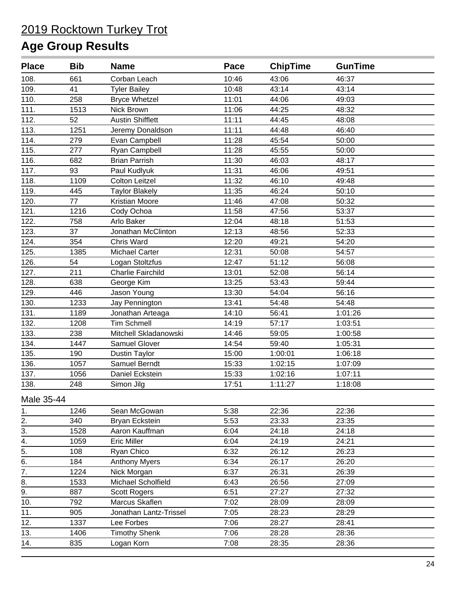| <b>Place</b>     | <b>Bib</b> | <b>Name</b>              | Pace  | <b>ChipTime</b> | <b>GunTime</b> |  |
|------------------|------------|--------------------------|-------|-----------------|----------------|--|
| 108.             | 661        | Corban Leach             | 10:46 | 43:06           | 46:37          |  |
| 109.             | 41         | <b>Tyler Bailey</b>      | 10:48 | 43:14           | 43:14          |  |
| 110.             | 258        | <b>Bryce Whetzel</b>     | 11:01 | 44:06           | 49:03          |  |
| 111.             | 1513       | Nick Brown               | 11:06 | 44:25           | 48:32          |  |
| 112.             | 52         | <b>Austin Shifflett</b>  | 11:11 | 44:45           | 48:08          |  |
| 113.             | 1251       | Jeremy Donaldson         | 11:11 | 44:48           | 46:40          |  |
| 114.             | 279        | Evan Campbell            | 11:28 | 45:54           | 50:00          |  |
| 115.             | 277        | Ryan Campbell            | 11:28 | 45:55           | 50:00          |  |
| 116.             | 682        | <b>Brian Parrish</b>     | 11:30 | 46:03           | 48:17          |  |
| 117.             | 93         | Paul Kudlyuk             | 11:31 | 46:06           | 49:51          |  |
| 118.             | 1109       | <b>Colton Leitzel</b>    | 11:32 | 46:10           | 49:48          |  |
| 119.             | 445        | <b>Taylor Blakely</b>    | 11:35 | 46:24           | 50:10          |  |
| 120.             | 77         | Kristian Moore           | 11:46 | 47:08           | 50:32          |  |
| 121.             | 1216       | Cody Ochoa               | 11:58 | 47:56           | 53:37          |  |
| 122.             | 758        | Arlo Baker               | 12:04 | 48:18           | 51:53          |  |
| 123.             | 37         | Jonathan McClinton       | 12:13 | 48:56           | 52:33          |  |
| 124.             | 354        | Chris Ward               | 12:20 | 49:21           | 54:20          |  |
| 125.             | 1385       | Michael Carter           | 12:31 | 50:08           | 54:57          |  |
| 126.             | 54         | Logan Stoltzfus          | 12:47 | 51:12           | 56:08          |  |
| 127.             | 211        | <b>Charlie Fairchild</b> | 13:01 | 52:08           | 56:14          |  |
| 128.             | 638        | George Kim               | 13:25 | 53:43           | 59:44          |  |
| 129.             | 446        | Jason Young              | 13:30 | 54:04           | 56:16          |  |
| 130.             | 1233       | Jay Pennington           | 13:41 | 54:48           | 54:48          |  |
| 131.             | 1189       | Jonathan Arteaga         | 14:10 | 56:41           | 1:01:26        |  |
| 132.             | 1208       | <b>Tim Schmell</b>       | 14:19 | 57:17           | 1:03:51        |  |
| 133.             | 238        | Mitchell Skladanowski    | 14:46 | 59:05           | 1:00:58        |  |
| 134.             | 1447       | Samuel Glover            | 14:54 | 59:40           | 1:05:31        |  |
| 135.             | 190        | Dustin Taylor            | 15:00 | 1:00:01         | 1:06:18        |  |
| 136.             | 1057       | Samuel Berndt            | 15:33 | 1:02:15         | 1:07:09        |  |
| 137.             | 1056       | Daniel Eckstein          | 15:33 | 1:02:16         | 1:07:11        |  |
| 138.             | 248        | Simon Jilg               | 17:51 | 1:11:27         | 1:18:08        |  |
| Male 35-44       |            |                          |       |                 |                |  |
| 1.               | 1246       | Sean McGowan             | 5:38  | 22:36           | 22:36          |  |
| 2.               | 340        | Bryan Eckstein           | 5:53  | 23:33           | 23:35          |  |
| 3.               | 1528       | Aaron Kauffman           | 6:04  | 24:18           | 24:18          |  |
| 4.               | 1059       | <b>Eric Miller</b>       | 6:04  | 24:19           | 24:21          |  |
| $\frac{5}{6}$    | 108        | Ryan Chico               | 6:32  | 26:12           | 26:23          |  |
|                  | 184        | <b>Anthony Myers</b>     | 6:34  | 26:17           | 26:20          |  |
| $\overline{7}$ . | 1224       | Nick Morgan              | 6:37  | 26:31           | 26:39          |  |
| 8.               | 1533       | Michael Scholfield       | 6:43  | 26:56           | 27:09          |  |
| 9.               | 887        | <b>Scott Rogers</b>      | 6:51  | 27:27           | 27:32          |  |
| 10.              | 792        | Marcus Skaflen           | 7:02  | 28:09           | 28:09          |  |
| 11.              | 905        | Jonathan Lantz-Trissel   | 7:05  | 28:23           | 28:29          |  |
| 12.              | 1337       | Lee Forbes               | 7:06  | 28:27           | 28:41          |  |
| 13.              | 1406       | <b>Timothy Shenk</b>     | 7:06  | 28:28           | 28:36          |  |
| 14.              | 835        | Logan Korn               | 7:08  | 28:35           | 28:36          |  |
|                  |            |                          |       |                 |                |  |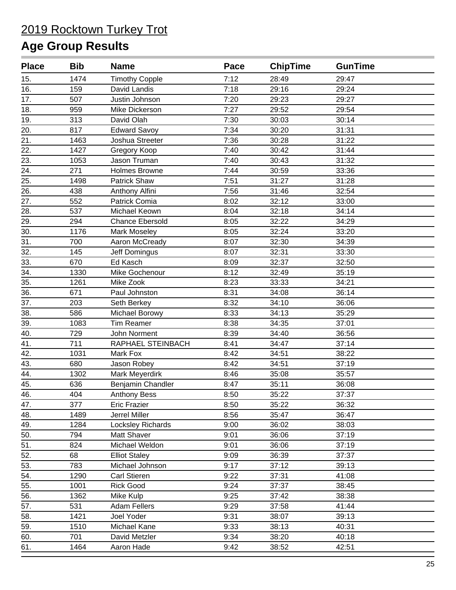| <b>Place</b> | <b>Bib</b> | <b>Name</b>            | Pace | <b>ChipTime</b> | <b>GunTime</b> |  |
|--------------|------------|------------------------|------|-----------------|----------------|--|
| 15.          | 1474       | <b>Timothy Copple</b>  | 7:12 | 28:49           | 29:47          |  |
| 16.          | 159        | David Landis           | 7:18 | 29:16           | 29:24          |  |
| 17.          | 507        | Justin Johnson         | 7:20 | 29:23           | 29:27          |  |
| 18.          | 959        | Mike Dickerson         | 7:27 | 29:52           | 29:54          |  |
| 19.          | 313        | David Olah             | 7:30 | 30:03           | 30:14          |  |
| 20.          | 817        | <b>Edward Savoy</b>    | 7:34 | 30:20           | 31:31          |  |
| 21.          | 1463       | Joshua Streeter        | 7:36 | 30:28           | 31:22          |  |
| 22.          | 1427       | Gregory Koop           | 7:40 | 30:42           | 31:44          |  |
| 23.          | 1053       | Jason Truman           | 7:40 | 30:43           | 31:32          |  |
| 24.          | 271        | Holmes Browne          | 7:44 | 30:59           | 33:36          |  |
| 25.          | 1498       | Patrick Shaw           | 7:51 | 31:27           | 31:28          |  |
| 26.          | 438        | Anthony Alfini         | 7:56 | 31:46           | 32:54          |  |
| 27.          | 552        | Patrick Comia          | 8:02 | 32:12           | 33:00          |  |
| 28.          | 537        | Michael Keown          | 8:04 | 32:18           | 34:14          |  |
| 29.          | 294        | <b>Chance Ebersold</b> | 8:05 | 32:22           | 34:29          |  |
| 30.          | 1176       | Mark Moseley           | 8:05 | 32:24           | 33:20          |  |
| 31.          | 700        | Aaron McCready         | 8:07 | 32:30           | 34:39          |  |
| 32.          | 145        | <b>Jeff Domingus</b>   | 8:07 | 32:31           | 33:30          |  |
| 33.          | 670        | Ed Kasch               | 8:09 | 32:37           | 32:50          |  |
| 34.          | 1330       | Mike Gochenour         | 8:12 | 32:49           | 35:19          |  |
| 35.          | 1261       | Mike Zook              | 8:23 | 33:33           | 34:21          |  |
| 36.          | 671        | Paul Johnston          | 8:31 | 34:08           | 36:14          |  |
| 37.          | 203        | Seth Berkey            | 8:32 | 34:10           | 36:06          |  |
| 38.          | 586        | Michael Borowy         | 8:33 | 34:13           | 35:29          |  |
| 39.          | 1083       | <b>Tim Reamer</b>      | 8:38 | 34:35           | 37:01          |  |
| 40.          | 729        | John Norment           | 8:39 | 34:40           | 36:56          |  |
| 41.          | 711        | RAPHAEL STEINBACH      | 8:41 | 34:47           | 37:14          |  |
| 42.          | 1031       | Mark Fox               | 8:42 | 34:51           | 38:22          |  |
| 43.          | 680        | Jason Robey            | 8:42 | 34:51           | 37:19          |  |
| 44.          | 1302       | Mark Meyerdirk         | 8:46 | 35:08           | 35:57          |  |
| 45.          | 636        | Benjamin Chandler      | 8:47 | 35:11           | 36:08          |  |
| 46.          | 404        | <b>Anthony Bess</b>    | 8:50 | 35:22           | 37:37          |  |
| 47.          | 377        | <b>Eric Frazier</b>    | 8:50 | 35:22           | 36:32          |  |
| 48.          | 1489       | Jerrel Miller          | 8:56 | 35:47           | 36:47          |  |
| 49.          | 1284       | Locksley Richards      | 9:00 | 36:02           | 38:03          |  |
| 50.          | 794        | Matt Shaver            | 9:01 | 36:06           | 37:19          |  |
| 51.          | 824        | Michael Weldon         | 9:01 | 36:06           | 37:19          |  |
| 52.          | 68         | <b>Elliot Staley</b>   | 9:09 | 36:39           | 37:37          |  |
| 53.          | 783        | Michael Johnson        | 9:17 | 37:12           | 39:13          |  |
| 54.          | 1290       | <b>Carl Stieren</b>    | 9:22 | 37:31           | 41:08          |  |
| 55.          | 1001       | <b>Rick Good</b>       | 9:24 | 37:37           | 38:45          |  |
| 56.          | 1362       | Mike Kulp              | 9:25 | 37:42           | 38:38          |  |
| 57.          | 531        | <b>Adam Fellers</b>    | 9:29 | 37:58           | 41:44          |  |
| 58.          | 1421       | Joel Yoder             | 9:31 | 38:07           | 39:13          |  |
| 59.          | 1510       | Michael Kane           | 9:33 | 38:13           | 40:31          |  |
| 60.          | 701        | David Metzler          | 9:34 | 38:20           | 40:18          |  |
| 61.          | 1464       | Aaron Hade             | 9:42 | 38:52           | 42:51          |  |
|              |            |                        |      |                 |                |  |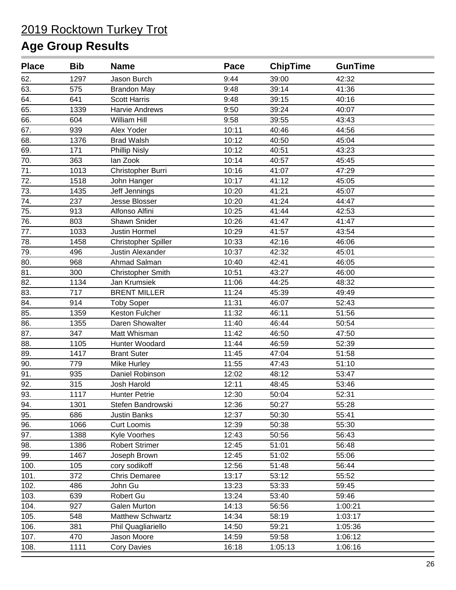| <b>Place</b> | <b>Bib</b> | <b>Name</b>                | Pace  | <b>ChipTime</b> | <b>GunTime</b> |  |
|--------------|------------|----------------------------|-------|-----------------|----------------|--|
| 62.          | 1297       | Jason Burch                | 9:44  | 39:00           | 42:32          |  |
| 63.          | 575        | <b>Brandon May</b>         | 9:48  | 39:14           | 41:36          |  |
| 64.          | 641        | <b>Scott Harris</b>        | 9:48  | 39:15           | 40:16          |  |
| 65.          | 1339       | <b>Harvie Andrews</b>      | 9:50  | 39:24           | 40:07          |  |
| 66.          | 604        | William Hill               | 9:58  | 39:55           | 43:43          |  |
| 67.          | 939        | Alex Yoder                 | 10:11 | 40:46           | 44:56          |  |
| 68.          | 1376       | <b>Brad Walsh</b>          | 10:12 | 40:50           | 45:04          |  |
| 69.          | 171        | <b>Phillip Nisly</b>       | 10:12 | 40:51           | 43:23          |  |
| 70.          | 363        | lan Zook                   | 10:14 | 40:57           | 45:45          |  |
| 71.          | 1013       | Christopher Burri          | 10:16 | 41:07           | 47:29          |  |
| 72.          | 1518       | John Hanger                | 10:17 | 41:12           | 45:05          |  |
| 73.          | 1435       | Jeff Jennings              | 10:20 | 41:21           | 45:07          |  |
| 74.          | 237        | Jesse Blosser              | 10:20 | 41:24           | 44:47          |  |
| 75.          | 913        | Alfonso Alfini             | 10:25 | 41:44           | 42:53          |  |
| 76.          | 803        | Shawn Snider               | 10:26 | 41:47           | 41:47          |  |
| 77.          | 1033       | <b>Justin Hormel</b>       | 10:29 | 41:57           | 43:54          |  |
| 78.          | 1458       | <b>Christopher Spiller</b> | 10:33 | 42:16           | 46:06          |  |
| 79.          | 496        | Justin Alexander           | 10:37 | 42:32           | 45:01          |  |
| 80.          | 968        | Ahmad Salman               | 10:40 | 42:41           | 46:05          |  |
| 81.          | 300        | <b>Christopher Smith</b>   | 10:51 | 43:27           | 46:00          |  |
| 82.          | 1134       | Jan Krumsiek               | 11:06 | 44:25           | 48:32          |  |
| 83.          | 717        | <b>BRENT MILLER</b>        | 11:24 | 45:39           | 49:49          |  |
| 84.          | 914        | <b>Toby Soper</b>          | 11:31 | 46:07           | 52:43          |  |
| 85.          | 1359       | Keston Fulcher             | 11:32 | 46:11           | 51:56          |  |
| 86.          | 1355       | Daren Showalter            | 11:40 | 46:44           | 50:54          |  |
| 87.          | 347        | Matt Whisman               | 11:42 | 46:50           | 47:50          |  |
| 88.          | 1105       | Hunter Woodard             | 11:44 | 46:59           | 52:39          |  |
| 89.          | 1417       | <b>Brant Suter</b>         | 11:45 | 47:04           | 51:58          |  |
| 90.          | 779        | Mike Hurley                | 11:55 | 47:43           | 51:10          |  |
| 91.          | 935        | Daniel Robinson            | 12:02 | 48:12           | 53:47          |  |
| 92.          | 315        | Josh Harold                | 12:11 | 48:45           | 53:46          |  |
| 93.          | 1117       | <b>Hunter Petrie</b>       | 12:30 | 50:04           | 52:31          |  |
| 94.          | 1301       | Stefen Bandrowski          | 12:36 | 50:27           | 55:28          |  |
| 95.          | 686        | Justin Banks               | 12:37 | 50:30           | 55:41          |  |
| 96.          | 1066       | <b>Curt Loomis</b>         | 12:39 | 50:38           | 55:30          |  |
| 97.          | 1388       | Kyle Voorhes               | 12:43 | 50:56           | 56:43          |  |
| 98.          | 1386       | <b>Robert Strimer</b>      | 12:45 | 51:01           | 56:48          |  |
| 99.          | 1467       | Joseph Brown               | 12:45 | 51:02           | 55:06          |  |
| 100.         | 105        | cory sodikoff              | 12:56 | 51:48           | 56:44          |  |
| 101.         | 372        | <b>Chris Demaree</b>       | 13:17 | 53:12           | 55:52          |  |
| 102.         | 486        | John Gu                    | 13:23 | 53:33           | 59:45          |  |
| 103.         | 639        | Robert Gu                  | 13:24 | 53:40           | 59:46          |  |
| 104.         | 927        | Galen Murton               | 14:13 | 56:56           | 1:00:21        |  |
| 105.         | 548        | <b>Matthew Schwartz</b>    | 14:34 | 58:19           | 1:03:17        |  |
| 106.         | 381        | Phil Quagliariello         | 14:50 | 59:21           | 1:05:36        |  |
| 107.         | 470        | Jason Moore                | 14:59 | 59:58           | 1:06:12        |  |
| 108.         | 1111       | <b>Cory Davies</b>         | 16:18 | 1:05:13         | 1:06:16        |  |
|              |            |                            |       |                 |                |  |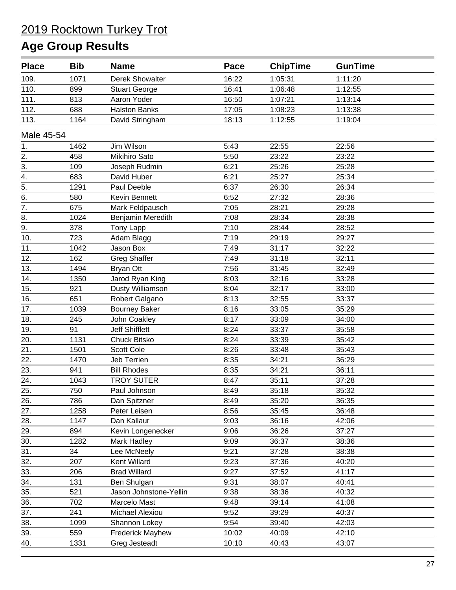| <b>Place</b>     | <b>Bib</b> | <b>Name</b>             | Pace  | <b>ChipTime</b> | <b>GunTime</b> |  |
|------------------|------------|-------------------------|-------|-----------------|----------------|--|
| 109.             | 1071       | <b>Derek Showalter</b>  | 16:22 | 1:05:31         | 1:11:20        |  |
| 110.             | 899        | <b>Stuart George</b>    | 16:41 | 1:06:48         | 1:12:55        |  |
| 111.             | 813        | Aaron Yoder             | 16:50 | 1:07:21         | 1:13:14        |  |
| 112.             | 688        | <b>Halston Banks</b>    | 17:05 | 1:08:23         | 1:13:38        |  |
| 113.             | 1164       | David Stringham         | 18:13 | 1:12:55         | 1:19:04        |  |
| Male 45-54       |            |                         |       |                 |                |  |
| 1.               | 1462       | Jim Wilson              | 5:43  | 22:55           | 22:56          |  |
| 2.               | 458        | Mikihiro Sato           | 5:50  | 23:22           | 23:22          |  |
| 3.               | 109        | Joseph Rudmin           | 6:21  | 25:26           | 25:28          |  |
| 4.               | 683        | David Huber             | 6:21  | 25:27           | 25:34          |  |
| $\overline{5}$ . | 1291       | Paul Deeble             | 6:37  | 26:30           | 26:34          |  |
| $\overline{6}$ . | 580        | Kevin Bennett           | 6:52  | 27:32           | 28:36          |  |
| $\overline{7}$ . | 675        | Mark Feldpausch         | 7:05  | 28:21           | 29:28          |  |
| 8.               | 1024       | Benjamin Meredith       | 7:08  | 28:34           | 28:38          |  |
| 9.               | 378        | Tony Lapp               | 7:10  | 28:44           | 28:52          |  |
| 10.              | 723        | Adam Blagg              | 7:19  | 29:19           | 29:27          |  |
| 11.              | 1042       | Jason Box               | 7:49  | 31:17           | 32:22          |  |
| 12.              | 162        | <b>Greg Shaffer</b>     | 7:49  | 31:18           | 32:11          |  |
| 13.              | 1494       | <b>Bryan Ott</b>        | 7:56  | 31:45           | 32:49          |  |
| 14.              | 1350       | Jarod Ryan King         | 8:03  | 32:16           | 33:28          |  |
| 15.              | 921        | Dusty Williamson        | 8:04  | 32:17           | 33:00          |  |
| 16.              | 651        | Robert Galgano          | 8:13  | 32:55           | 33:37          |  |
| 17.              | 1039       | <b>Bourney Baker</b>    | 8:16  | 33:05           | 35:29          |  |
| 18.              | 245        | John Coakley            | 8:17  | 33:09           | 34:00          |  |
| 19.              | 91         | <b>Jeff Shifflett</b>   | 8:24  | 33:37           | 35:58          |  |
| 20.              | 1131       | Chuck Bitsko            | 8:24  | 33:39           | 35:42          |  |
| 21.              | 1501       | <b>Scott Cole</b>       | 8:26  | 33:48           | 35:43          |  |
| 22.              | 1470       | Jeb Terrien             | 8:35  | 34:21           | 36:29          |  |
| 23.              | 941        | <b>Bill Rhodes</b>      | 8:35  | 34:21           | 36:11          |  |
| 24.              | 1043       | <b>TROY SUTER</b>       | 8:47  | 35:11           | 37:28          |  |
| 25.              | 750        | Paul Johnson            | 8:49  | 35:18           | 35:32          |  |
| 26.              | 786        | Dan Spitzner            | 8:49  | 35:20           | 36:35          |  |
| 27.              | 1258       | Peter Leisen            | 8:56  | 35:45           | 36:48          |  |
| 28.              | 1147       | Dan Kallaur             | 9:03  | 36:16           | 42:06          |  |
| 29.              | 894        | Kevin Longenecker       | 9:06  | 36:26           | 37:27          |  |
| 30.              | 1282       | Mark Hadley             | 9:09  | 36:37           | 38:36          |  |
| 31.              | 34         | Lee McNeely             | 9:21  | 37:28           | 38:38          |  |
| 32.              | 207        | Kent Willard            | 9:23  | 37:36           | 40:20          |  |
| 33.              | 206        | <b>Brad Willard</b>     | 9:27  | 37:52           | 41:17          |  |
| 34.              | 131        | Ben Shulgan             | 9:31  | 38:07           | 40:41          |  |
| 35.              | 521        | Jason Johnstone-Yellin  | 9:38  | 38:36           | 40:32          |  |
| 36.              | 702        | Marcelo Mast            | 9:48  | 39:14           | 41:08          |  |
| 37.              | 241        | Michael Alexiou         | 9:52  | 39:29           | 40:37          |  |
| 38.              | 1099       | Shannon Lokey           | 9:54  | 39:40           | 42:03          |  |
| 39.              | 559        | <b>Frederick Mayhew</b> | 10:02 | 40:09           | 42:10          |  |
| 40.              | 1331       | Greg Jesteadt           | 10:10 | 40:43           | 43:07          |  |
|                  |            |                         |       |                 |                |  |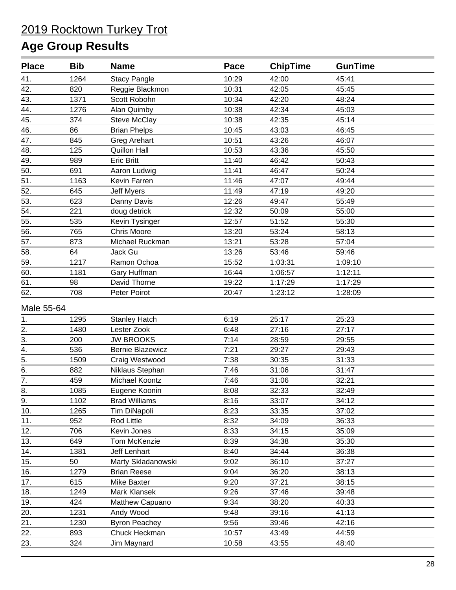| <b>Place</b>     | <b>Bib</b> | <b>Name</b>             | Pace  | <b>ChipTime</b> | <b>GunTime</b> |  |
|------------------|------------|-------------------------|-------|-----------------|----------------|--|
| 41.              | 1264       | <b>Stacy Pangle</b>     | 10:29 | 42:00           | 45:41          |  |
| 42.              | 820        | Reggie Blackmon         | 10:31 | 42:05           | 45:45          |  |
| 43.              | 1371       | Scott Robohn            | 10:34 | 42:20           | 48:24          |  |
| 44.              | 1276       | Alan Quimby             | 10:38 | 42:34           | 45:03          |  |
| 45.              | 374        | <b>Steve McClay</b>     | 10:38 | 42:35           | 45:14          |  |
| 46.              | 86         | <b>Brian Phelps</b>     | 10:45 | 43:03           | 46:45          |  |
| 47.              | 845        | <b>Greg Arehart</b>     | 10:51 | 43:26           | 46:07          |  |
| 48.              | 125        | <b>Quillon Hall</b>     | 10:53 | 43:36           | 45:50          |  |
| 49.              | 989        | <b>Eric Britt</b>       | 11:40 | 46:42           | 50:43          |  |
| 50.              | 691        | Aaron Ludwig            | 11:41 | 46:47           | 50:24          |  |
| 51.              | 1163       | Kevin Farren            | 11:46 | 47:07           | 49:44          |  |
| 52.              | 645        | <b>Jeff Myers</b>       | 11:49 | 47:19           | 49:20          |  |
| 53.              | 623        | Danny Davis             | 12:26 | 49:47           | 55:49          |  |
| 54.              | 221        | doug detrick            | 12:32 | 50:09           | 55:00          |  |
| 55.              | 535        | Kevin Tysinger          | 12:57 | 51:52           | 55:30          |  |
| 56.              | 765        | <b>Chris Moore</b>      | 13:20 | 53:24           | 58:13          |  |
| 57.              | 873        | Michael Ruckman         | 13:21 | 53:28           | 57:04          |  |
| 58.              | 64         | Jack Gu                 | 13:26 | 53:46           | 59:46          |  |
| 59.              | 1217       | Ramon Ochoa             | 15:52 | 1:03:31         | 1:09:10        |  |
| 60.              | 1181       | Gary Huffman            | 16:44 | 1:06:57         | 1:12:11        |  |
| 61.              | 98         | David Thorne            | 19:22 | 1:17:29         | 1:17:29        |  |
| 62.              | 708        | Peter Poirot            | 20:47 | 1:23:12         | 1:28:09        |  |
| Male 55-64       |            |                         |       |                 |                |  |
| 1.               | 1295       | <b>Stanley Hatch</b>    | 6:19  | 25:17           | 25:23          |  |
| $\overline{2}$ . | 1480       | Lester Zook             | 6:48  | 27:16           | 27:17          |  |
| $\overline{3}$ . | 200        | <b>JW BROOKS</b>        | 7:14  | 28:59           | 29:55          |  |
| 4.               | 536        | <b>Bernie Blazewicz</b> | 7:21  | 29:27           | 29:43          |  |
| $\overline{5}$ . | 1509       | Craig Westwood          | 7:38  | 30:35           | 31:33          |  |
| $\overline{6}$ . | 882        | Niklaus Stephan         | 7:46  | 31:06           | 31:47          |  |
| $\overline{7}$ . | 459        | Michael Koontz          | 7:46  | 31:06           | 32:21          |  |
| 8.               | 1085       | Eugene Koonin           | 8:08  | 32:33           | 32:49          |  |
| 9.               | 1102       | <b>Brad Williams</b>    | 8:16  | 33:07           | 34:12          |  |
| 10.              | 1265       | Tim DiNapoli            | 8:23  | 33:35           | 37:02          |  |
| 11.              | 952        | Rod Little              | 8:32  | 34:09           | 36:33          |  |
| 12.              | 706        | Kevin Jones             | 8:33  | 34:15           | 35:09          |  |
| 13.              | 649        | Tom McKenzie            | 8:39  | 34:38           | 35:30          |  |
| 14.              | 1381       | Jeff Lenhart            | 8:40  | 34:44           | 36:38          |  |
| 15.              | 50         | Marty Skladanowski      | 9:02  | 36:10           | 37:27          |  |
| 16.              | 1279       | <b>Brian Reese</b>      | 9:04  | 36:20           | 38:13          |  |
| 17.              | 615        | Mike Baxter             | 9:20  | 37:21           | 38:15          |  |
| 18.              | 1249       | Mark Klansek            | 9:26  | 37:46           | 39:48          |  |
| 19.              | 424        | Matthew Capuano         | 9:34  | 38:20           | 40:33          |  |
| 20.              | 1231       | Andy Wood               | 9:48  | 39:16           | 41:13          |  |
| 21.              | 1230       | <b>Byron Peachey</b>    | 9:56  | 39:46           | 42:16          |  |
| 22.              | 893        | Chuck Heckman           | 10:57 | 43:49           | 44:59          |  |
| 23.              | 324        | Jim Maynard             | 10:58 | 43:55           | 48:40          |  |
|                  |            |                         |       |                 |                |  |